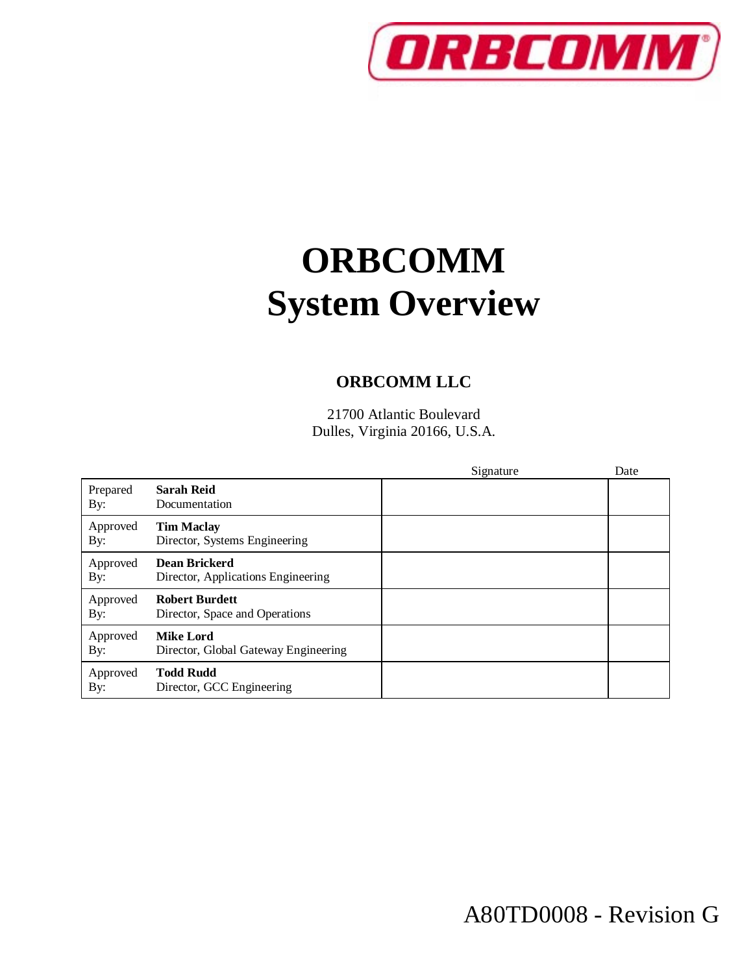

# **ORBCOMM System Overview**

#### **ORBCOMM LLC**

21700 Atlantic Boulevard Dulles, Virginia 20166, U.S.A.

|                 |                                                            | Signature | Date |
|-----------------|------------------------------------------------------------|-----------|------|
| Prepared<br>By: | <b>Sarah Reid</b><br>Documentation                         |           |      |
| Approved<br>By: | <b>Tim Maclay</b><br>Director, Systems Engineering         |           |      |
| Approved<br>By: | <b>Dean Brickerd</b><br>Director, Applications Engineering |           |      |
| Approved<br>By: | <b>Robert Burdett</b><br>Director, Space and Operations    |           |      |
| Approved<br>By: | <b>Mike Lord</b><br>Director, Global Gateway Engineering   |           |      |
| Approved<br>By: | <b>Todd Rudd</b><br>Director, GCC Engineering              |           |      |

A80TD0008 - Revision G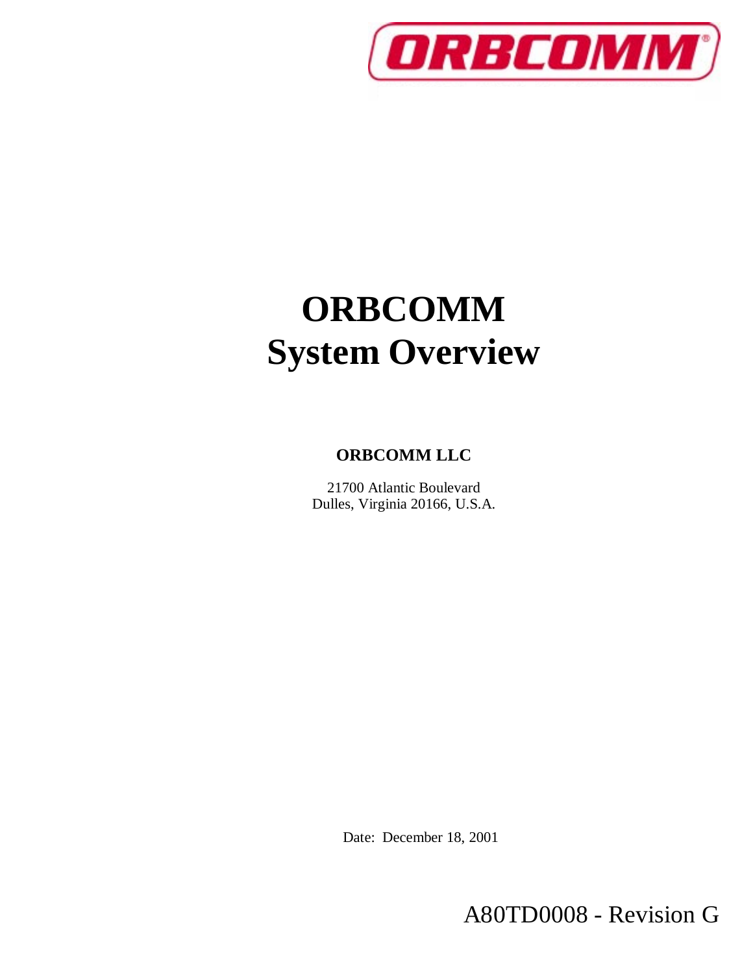

# **ORBCOMM System Overview**

#### **ORBCOMM LLC**

21700 Atlantic Boulevard Dulles, Virginia 20166, U.S.A.

Date: December 18, 2001

A80TD0008 - Revision G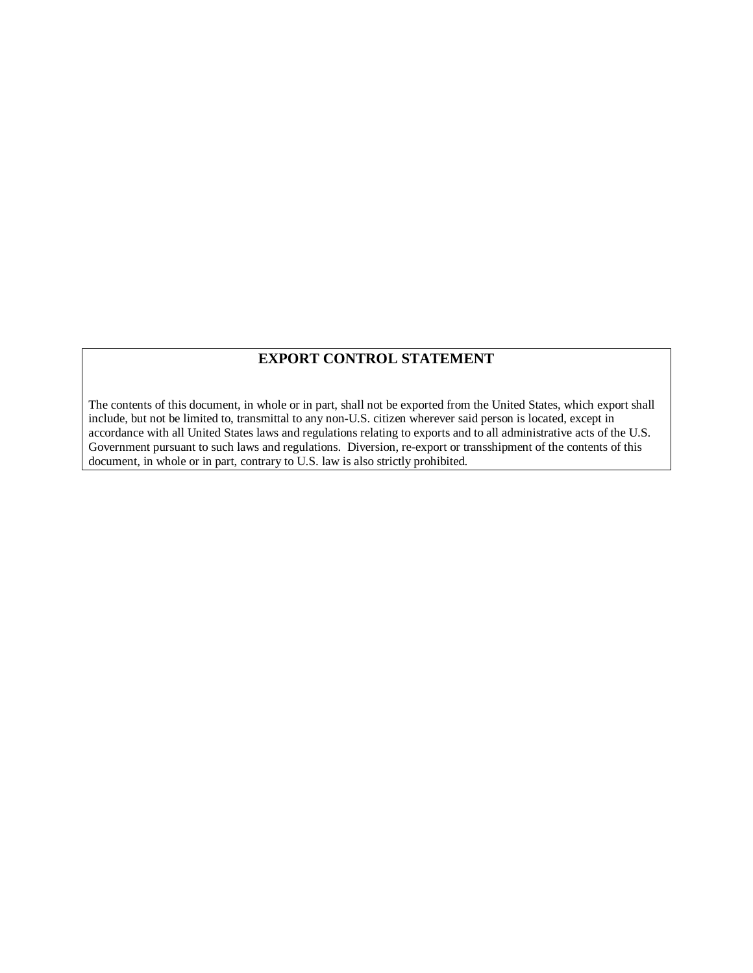#### **EXPORT CONTROL STATEMENT**

The contents of this document, in whole or in part, shall not be exported from the United States, which export shall include, but not be limited to, transmittal to any non-U.S. citizen wherever said person is located, except in accordance with all United States laws and regulations relating to exports and to all administrative acts of the U.S. Government pursuant to such laws and regulations. Diversion, re-export or transshipment of the contents of this document, in whole or in part, contrary to U.S. law is also strictly prohibited.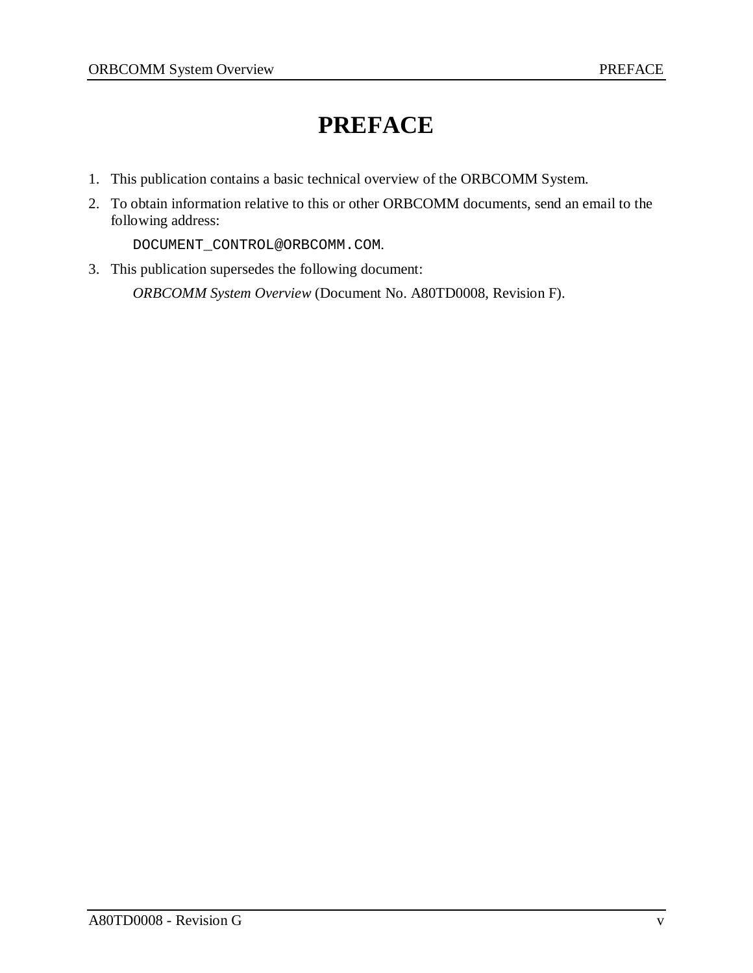### **PREFACE**

- 1. This publication contains a basic technical overview of the ORBCOMM System.
- 2. To obtain information relative to this or other ORBCOMM documents, send an email to the following address:

DOCUMENT\_CONTROL@ORBCOMM.COM.

3. This publication supersedes the following document:

*ORBCOMM System Overview* (Document No. A80TD0008, Revision F).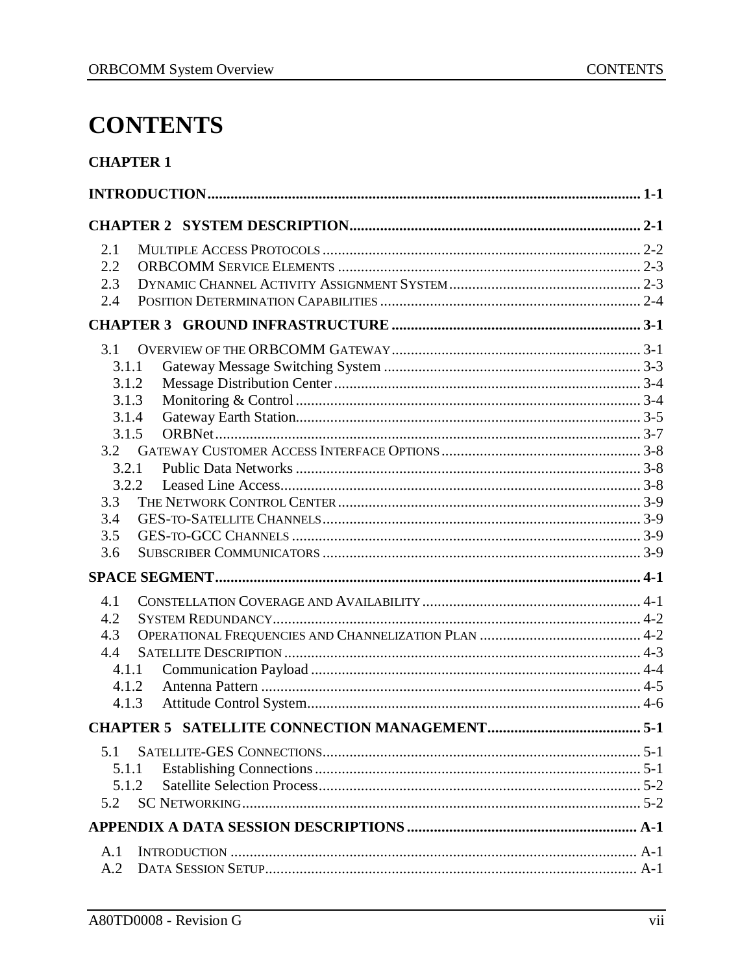### **CONTENTS**

#### **CHAPTER 1**

| 2.1   |  |  |  |
|-------|--|--|--|
| 2.2   |  |  |  |
| 2.3   |  |  |  |
| 2.4   |  |  |  |
|       |  |  |  |
| 3.1   |  |  |  |
| 3.1.1 |  |  |  |
| 3.1.2 |  |  |  |
| 3.1.3 |  |  |  |
| 3.1.4 |  |  |  |
| 3.1.5 |  |  |  |
| 3.2   |  |  |  |
| 3.2.1 |  |  |  |
| 3.2.2 |  |  |  |
| 3.3   |  |  |  |
| 3.4   |  |  |  |
| 3.5   |  |  |  |
| 3.6   |  |  |  |
|       |  |  |  |
| 4.1   |  |  |  |
| 4.2   |  |  |  |
| 4.3   |  |  |  |
| 4.4   |  |  |  |
| 4.1.1 |  |  |  |
| 4.1.2 |  |  |  |
| 4.1.3 |  |  |  |
|       |  |  |  |
| 5.1   |  |  |  |
| 5.1.1 |  |  |  |
| 5.1.2 |  |  |  |
| 5.2   |  |  |  |
|       |  |  |  |
| A.1   |  |  |  |
| A.2   |  |  |  |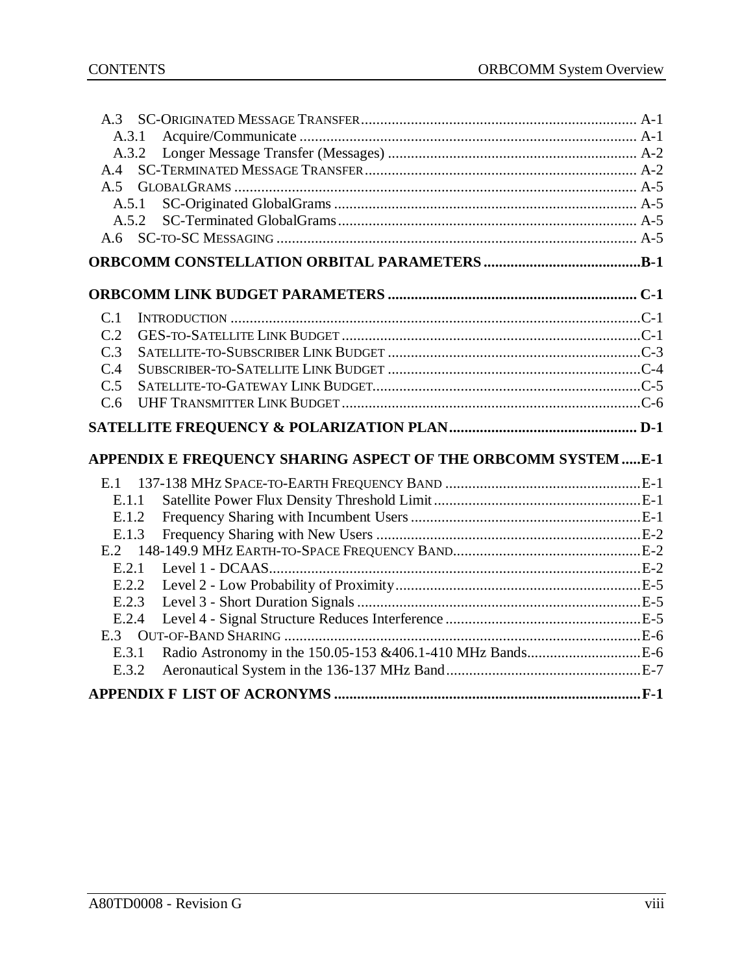| A.3.1          |                                                               |
|----------------|---------------------------------------------------------------|
| A.3.2          |                                                               |
| A.4            |                                                               |
|                |                                                               |
| A.5.1          |                                                               |
| A.5.2          |                                                               |
| A <sub>6</sub> |                                                               |
|                |                                                               |
|                |                                                               |
|                |                                                               |
| C.1            |                                                               |
| C.2            |                                                               |
| C.3            |                                                               |
| C.4            |                                                               |
| C.5            |                                                               |
| C.6            |                                                               |
|                |                                                               |
|                |                                                               |
|                |                                                               |
|                | APPENDIX E FREQUENCY SHARING ASPECT OF THE ORBCOMM SYSTEM E-1 |
| E.1            |                                                               |
| E.1.1          |                                                               |
| E.1.2          |                                                               |
| E.1.3          |                                                               |
| E.2            |                                                               |
| E.2.1          |                                                               |
| E.2.2          |                                                               |
| E.2.3          |                                                               |
| E.2.4          |                                                               |
|                |                                                               |
| E.3.1          |                                                               |
| E.3.2          |                                                               |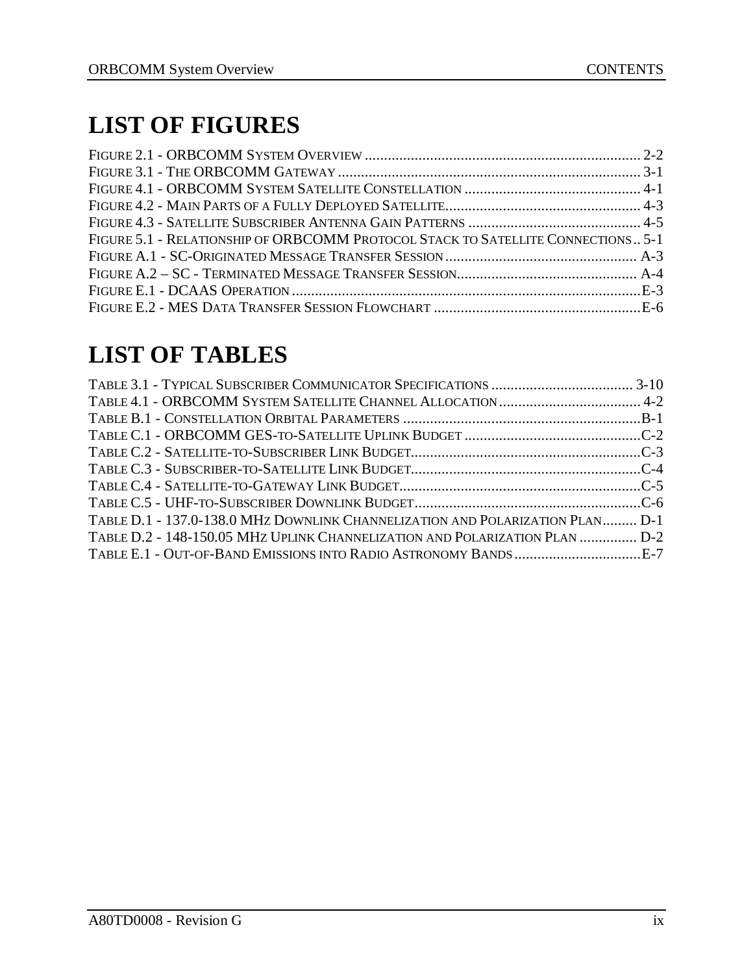# **LIST OF FIGURES**

| FIGURE 5.1 - RELATIONSHIP OF ORBCOMM PROTOCOL STACK TO SATELLITE CONNECTIONS 5-1 |  |
|----------------------------------------------------------------------------------|--|
|                                                                                  |  |
|                                                                                  |  |
|                                                                                  |  |
|                                                                                  |  |

# **LIST OF TABLES**

| TABLE D.1 - 137.0-138.0 MHz DOWNLINK CHANNELIZATION AND POLARIZATION PLAN D-1<br>TABLE D.2 - 148-150.05 MHZ UPLINK CHANNELIZATION AND POLARIZATION PLAN  D-2 |  |
|--------------------------------------------------------------------------------------------------------------------------------------------------------------|--|
|                                                                                                                                                              |  |
|                                                                                                                                                              |  |
|                                                                                                                                                              |  |
|                                                                                                                                                              |  |
|                                                                                                                                                              |  |
|                                                                                                                                                              |  |
|                                                                                                                                                              |  |
|                                                                                                                                                              |  |
|                                                                                                                                                              |  |
|                                                                                                                                                              |  |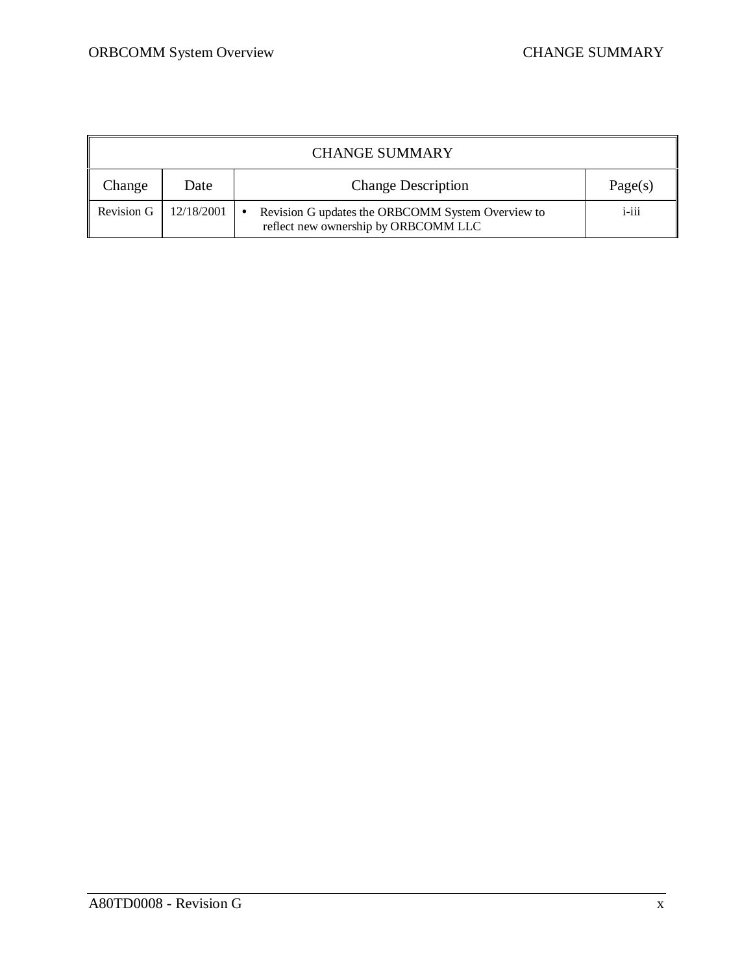|            | <b>CHANGE SUMMARY</b> |                                                                                                        |          |  |
|------------|-----------------------|--------------------------------------------------------------------------------------------------------|----------|--|
| Change     | Date                  | <b>Change Description</b>                                                                              | Page(s)  |  |
| Revision G | 12/18/2001            | Revision G updates the ORBCOMM System Overview to<br>$\bullet$<br>reflect new ownership by ORBCOMM LLC | $i$ -iii |  |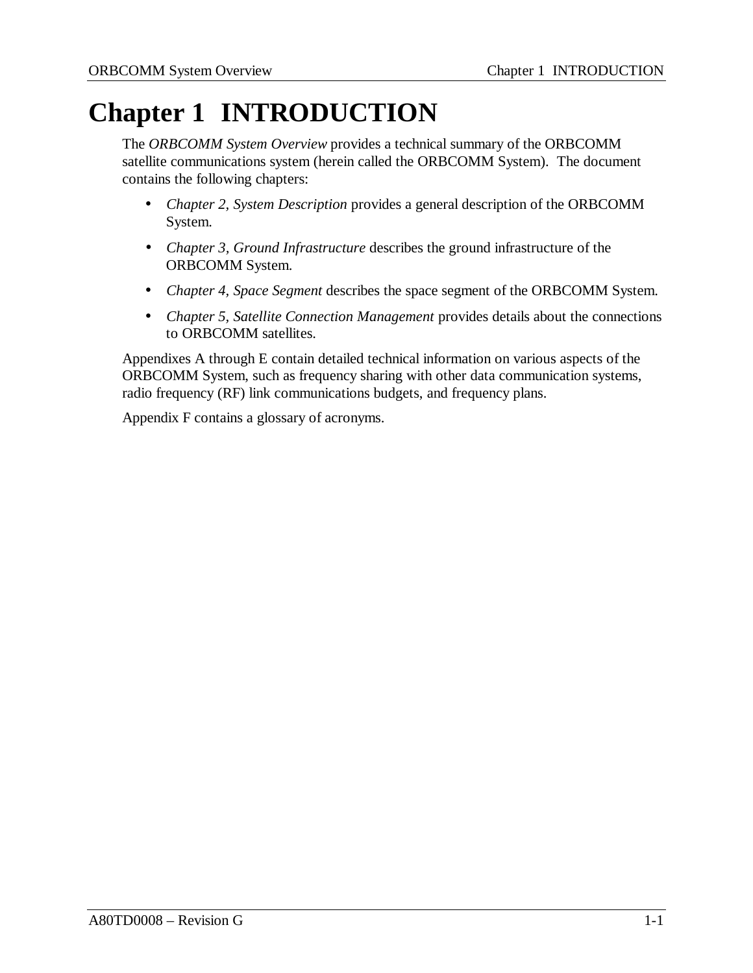# **Chapter 1 INTRODUCTION**

The *ORBCOMM System Overview* provides a technical summary of the ORBCOMM satellite communications system (herein called the ORBCOMM System). The document contains the following chapters:

- *Chapter 2, System Description* provides a general description of the ORBCOMM System.
- *Chapter 3, Ground Infrastructure* describes the ground infrastructure of the ORBCOMM System.
- *Chapter 4, Space Segment* describes the space segment of the ORBCOMM System.
- *Chapter 5, Satellite Connection Management* provides details about the connections to ORBCOMM satellites.

Appendixes A through E contain detailed technical information on various aspects of the ORBCOMM System, such as frequency sharing with other data communication systems, radio frequency (RF) link communications budgets, and frequency plans.

Appendix F contains a glossary of acronyms.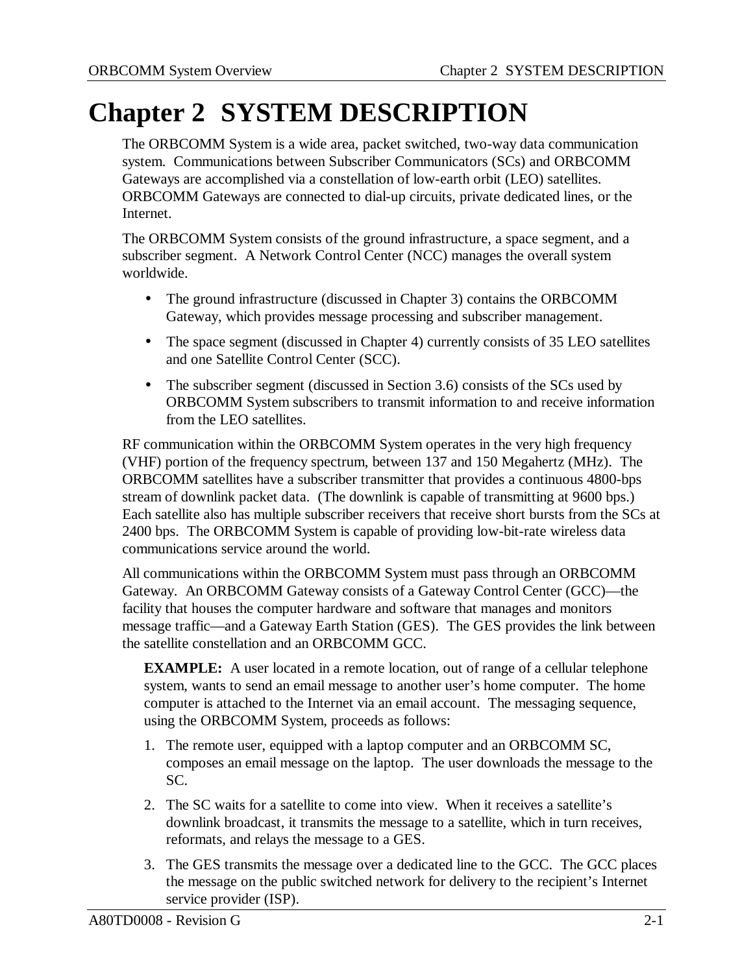# **Chapter 2 SYSTEM DESCRIPTION**

The ORBCOMM System is a wide area, packet switched, two-way data communication system. Communications between Subscriber Communicators (SCs) and ORBCOMM Gateways are accomplished via a constellation of low-earth orbit (LEO) satellites. ORBCOMM Gateways are connected to dial-up circuits, private dedicated lines, or the Internet.

The ORBCOMM System consists of the ground infrastructure, a space segment, and a subscriber segment. A Network Control Center (NCC) manages the overall system worldwide.

- The ground infrastructure (discussed in Chapter 3) contains the ORBCOMM Gateway, which provides message processing and subscriber management.
- The space segment (discussed in Chapter 4) currently consists of 35 LEO satellites and one Satellite Control Center (SCC).
- The subscriber segment (discussed in Section 3.6) consists of the SCs used by ORBCOMM System subscribers to transmit information to and receive information from the LEO satellites.

RF communication within the ORBCOMM System operates in the very high frequency (VHF) portion of the frequency spectrum, between 137 and 150 Megahertz (MHz). The ORBCOMM satellites have a subscriber transmitter that provides a continuous 4800-bps stream of downlink packet data. (The downlink is capable of transmitting at 9600 bps.) Each satellite also has multiple subscriber receivers that receive short bursts from the SCs at 2400 bps. The ORBCOMM System is capable of providing low-bit-rate wireless data communications service around the world.

All communications within the ORBCOMM System must pass through an ORBCOMM Gateway. An ORBCOMM Gateway consists of a Gateway Control Center (GCC)—the facility that houses the computer hardware and software that manages and monitors message traffic—and a Gateway Earth Station (GES). The GES provides the link between the satellite constellation and an ORBCOMM GCC.

**EXAMPLE:** A user located in a remote location, out of range of a cellular telephone system, wants to send an email message to another user's home computer. The home computer is attached to the Internet via an email account. The messaging sequence, using the ORBCOMM System, proceeds as follows:

- 1. The remote user, equipped with a laptop computer and an ORBCOMM SC, composes an email message on the laptop. The user downloads the message to the SC.
- 2. The SC waits for a satellite to come into view. When it receives a satellite's downlink broadcast, it transmits the message to a satellite, which in turn receives, reformats, and relays the message to a GES.
- 3. The GES transmits the message over a dedicated line to the GCC. The GCC places the message on the public switched network for delivery to the recipient's Internet service provider (ISP).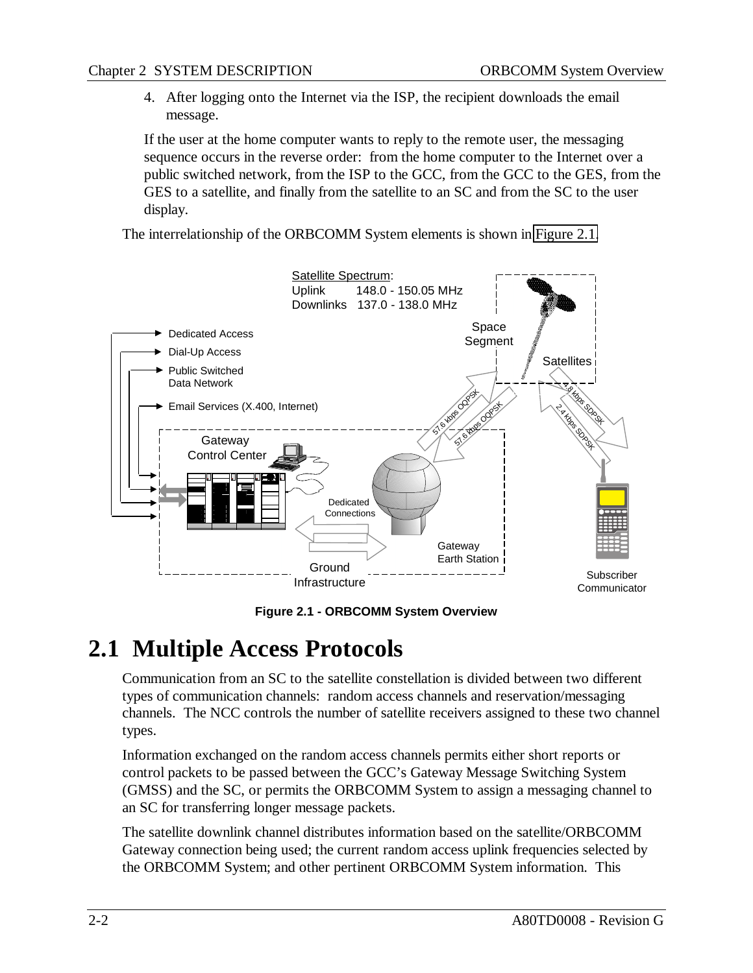4. After logging onto the Internet via the ISP, the recipient downloads the email message.

If the user at the home computer wants to reply to the remote user, the messaging sequence occurs in the reverse order: from the home computer to the Internet over a public switched network, from the ISP to the GCC, from the GCC to the GES, from the GES to a satellite, and finally from the satellite to an SC and from the SC to the user display.

The interrelationship of the ORBCOMM System elements is shown in Figure 2.1.



**Figure 2.1 - ORBCOMM System Overview**

### **2.1 Multiple Access Protocols**

Communication from an SC to the satellite constellation is divided between two different types of communication channels: random access channels and reservation/messaging channels. The NCC controls the number of satellite receivers assigned to these two channel types.

Information exchanged on the random access channels permits either short reports or control packets to be passed between the GCC's Gateway Message Switching System (GMSS) and the SC, or permits the ORBCOMM System to assign a messaging channel to an SC for transferring longer message packets.

The satellite downlink channel distributes information based on the satellite/ORBCOMM Gateway connection being used; the current random access uplink frequencies selected by the ORBCOMM System; and other pertinent ORBCOMM System information. This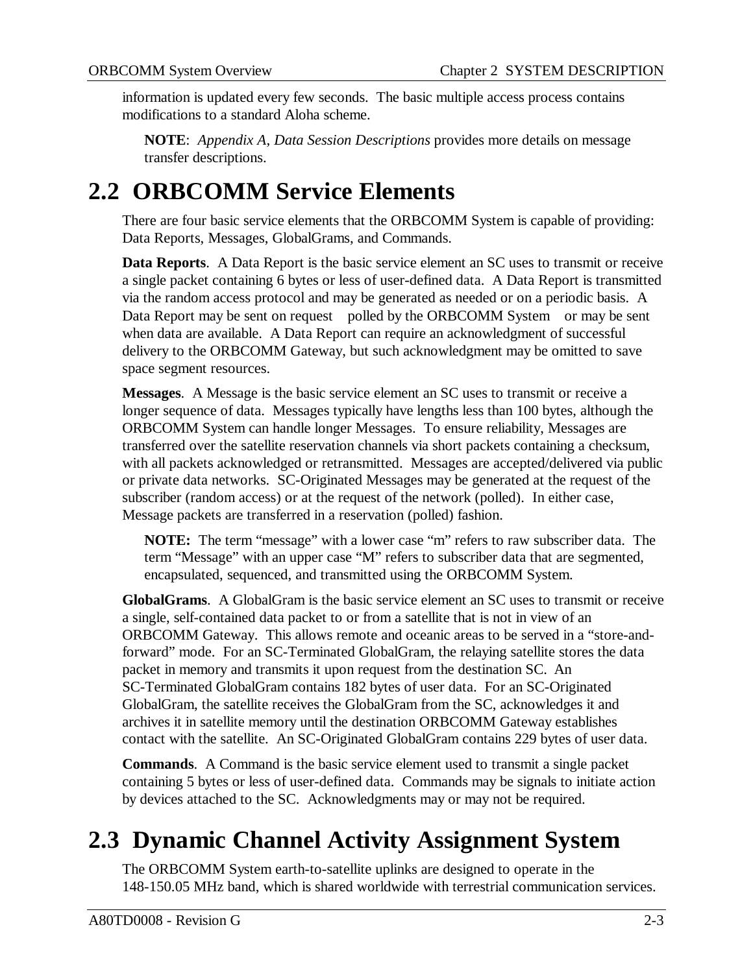information is updated every few seconds. The basic multiple access process contains modifications to a standard Aloha scheme.

**NOTE**: *Appendix A*, *Data Session Descriptions* provides more details on message transfer descriptions.

### **2.2 ORBCOMM Service Elements**

There are four basic service elements that the ORBCOMM System is capable of providing: Data Reports, Messages, GlobalGrams, and Commands.

**Data Reports**. A Data Report is the basic service element an SC uses to transmit or receive a single packet containing 6 bytes or less of user-defined data. A Data Report is transmitted via the random access protocol and may be generated as needed or on a periodic basis. A Data Report may be sent on request—polled by the ORBCOMM System—or may be sent when data are available. A Data Report can require an acknowledgment of successful delivery to the ORBCOMM Gateway, but such acknowledgment may be omitted to save space segment resources.

**Messages**. A Message is the basic service element an SC uses to transmit or receive a longer sequence of data. Messages typically have lengths less than 100 bytes, although the ORBCOMM System can handle longer Messages. To ensure reliability, Messages are transferred over the satellite reservation channels via short packets containing a checksum, with all packets acknowledged or retransmitted. Messages are accepted/delivered via public or private data networks. SC-Originated Messages may be generated at the request of the subscriber (random access) or at the request of the network (polled). In either case, Message packets are transferred in a reservation (polled) fashion.

**NOTE:** The term "message" with a lower case "m" refers to raw subscriber data. The term "Message" with an upper case "M" refers to subscriber data that are segmented, encapsulated, sequenced, and transmitted using the ORBCOMM System.

**GlobalGrams**. A GlobalGram is the basic service element an SC uses to transmit or receive a single, self-contained data packet to or from a satellite that is not in view of an ORBCOMM Gateway. This allows remote and oceanic areas to be served in a "store-andforward" mode. For an SC-Terminated GlobalGram, the relaying satellite stores the data packet in memory and transmits it upon request from the destination SC. An SC-Terminated GlobalGram contains 182 bytes of user data. For an SC-Originated GlobalGram, the satellite receives the GlobalGram from the SC, acknowledges it and archives it in satellite memory until the destination ORBCOMM Gateway establishes contact with the satellite. An SC-Originated GlobalGram contains 229 bytes of user data.

**Commands**. A Command is the basic service element used to transmit a single packet containing 5 bytes or less of user-defined data. Commands may be signals to initiate action by devices attached to the SC. Acknowledgments may or may not be required.

### **2.3 Dynamic Channel Activity Assignment System**

The ORBCOMM System earth-to-satellite uplinks are designed to operate in the 148-150.05 MHz band, which is shared worldwide with terrestrial communication services.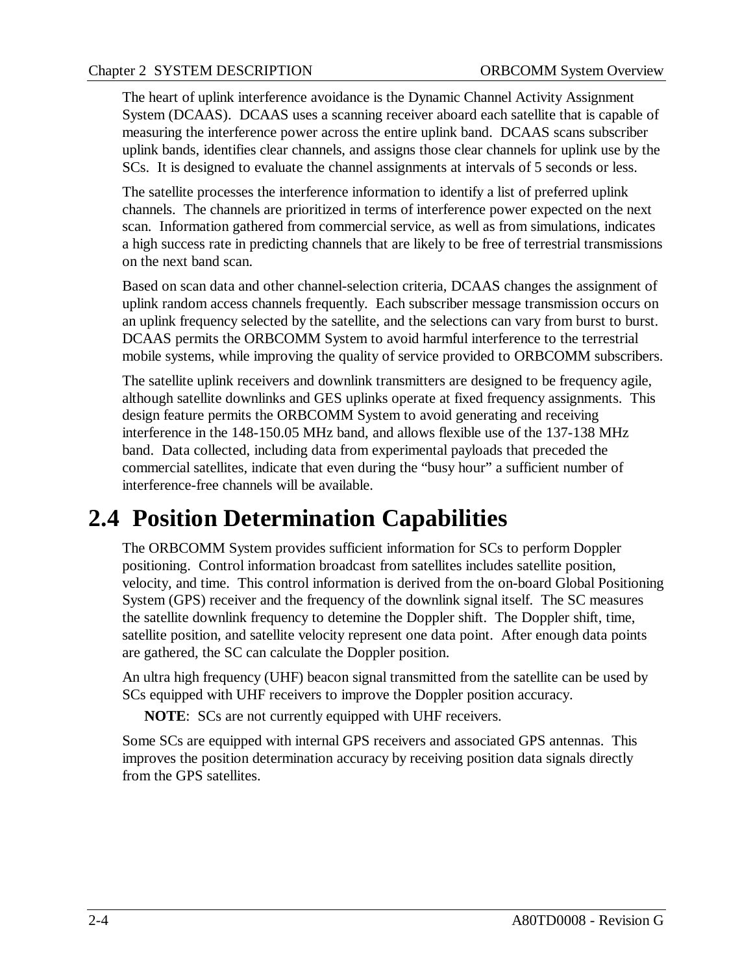The heart of uplink interference avoidance is the Dynamic Channel Activity Assignment System (DCAAS). DCAAS uses a scanning receiver aboard each satellite that is capable of measuring the interference power across the entire uplink band. DCAAS scans subscriber uplink bands, identifies clear channels, and assigns those clear channels for uplink use by the SCs. It is designed to evaluate the channel assignments at intervals of 5 seconds or less.

The satellite processes the interference information to identify a list of preferred uplink channels. The channels are prioritized in terms of interference power expected on the next scan. Information gathered from commercial service, as well as from simulations, indicates a high success rate in predicting channels that are likely to be free of terrestrial transmissions on the next band scan.

Based on scan data and other channel-selection criteria, DCAAS changes the assignment of uplink random access channels frequently. Each subscriber message transmission occurs on an uplink frequency selected by the satellite, and the selections can vary from burst to burst. DCAAS permits the ORBCOMM System to avoid harmful interference to the terrestrial mobile systems, while improving the quality of service provided to ORBCOMM subscribers.

The satellite uplink receivers and downlink transmitters are designed to be frequency agile, although satellite downlinks and GES uplinks operate at fixed frequency assignments. This design feature permits the ORBCOMM System to avoid generating and receiving interference in the 148-150.05 MHz band, and allows flexible use of the 137-138 MHz band. Data collected, including data from experimental payloads that preceded the commercial satellites, indicate that even during the "busy hour" a sufficient number of interference-free channels will be available.

### **2.4 Position Determination Capabilities**

The ORBCOMM System provides sufficient information for SCs to perform Doppler positioning. Control information broadcast from satellites includes satellite position, velocity, and time. This control information is derived from the on-board Global Positioning System (GPS) receiver and the frequency of the downlink signal itself. The SC measures the satellite downlink frequency to detemine the Doppler shift. The Doppler shift, time, satellite position, and satellite velocity represent one data point. After enough data points are gathered, the SC can calculate the Doppler position.

An ultra high frequency (UHF) beacon signal transmitted from the satellite can be used by SCs equipped with UHF receivers to improve the Doppler position accuracy.

**NOTE**: SCs are not currently equipped with UHF receivers.

Some SCs are equipped with internal GPS receivers and associated GPS antennas. This improves the position determination accuracy by receiving position data signals directly from the GPS satellites.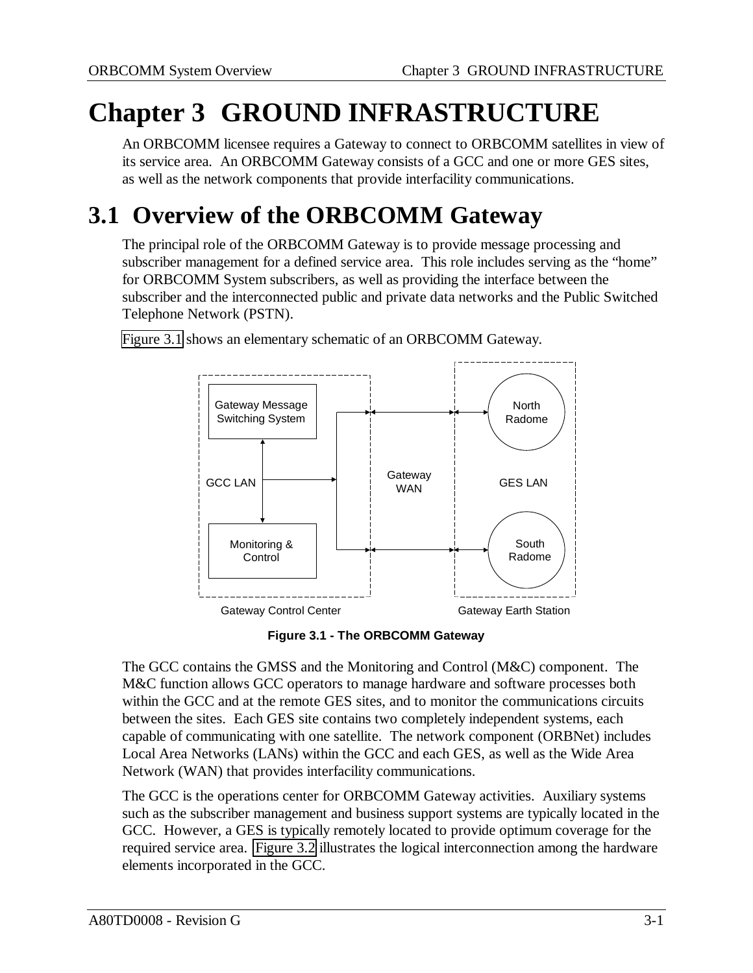# **Chapter 3 GROUND INFRASTRUCTURE**

An ORBCOMM licensee requires a Gateway to connect to ORBCOMM satellites in view of its service area. An ORBCOMM Gateway consists of a GCC and one or more GES sites, as well as the network components that provide interfacility communications.

### **3.1 Overview of the ORBCOMM Gateway**

The principal role of the ORBCOMM Gateway is to provide message processing and subscriber management for a defined service area. This role includes serving as the "home" for ORBCOMM System subscribers, as well as providing the interface between the subscriber and the interconnected public and private data networks and the Public Switched Telephone Network (PSTN).



Figure 3.1 shows an elementary schematic of an ORBCOMM Gateway.

**Figure 3.1 - The ORBCOMM Gateway**

The GCC contains the GMSS and the Monitoring and Control (M&C) component. The M&C function allows GCC operators to manage hardware and software processes both within the GCC and at the remote GES sites, and to monitor the communications circuits between the sites. Each GES site contains two completely independent systems, each capable of communicating with one satellite. The network component (ORBNet) includes Local Area Networks (LANs) within the GCC and each GES, as well as the Wide Area Network (WAN) that provides interfacility communications.

The GCC is the operations center for ORBCOMM Gateway activities. Auxiliary systems such as the subscriber management and business support systems are typically located in the GCC. However, a GES is typically remotely located to provide optimum coverage for the required service area. [Figure 3.2](#page-14-0) illustrates the logical interconnection among the hardware elements incorporated in the GCC.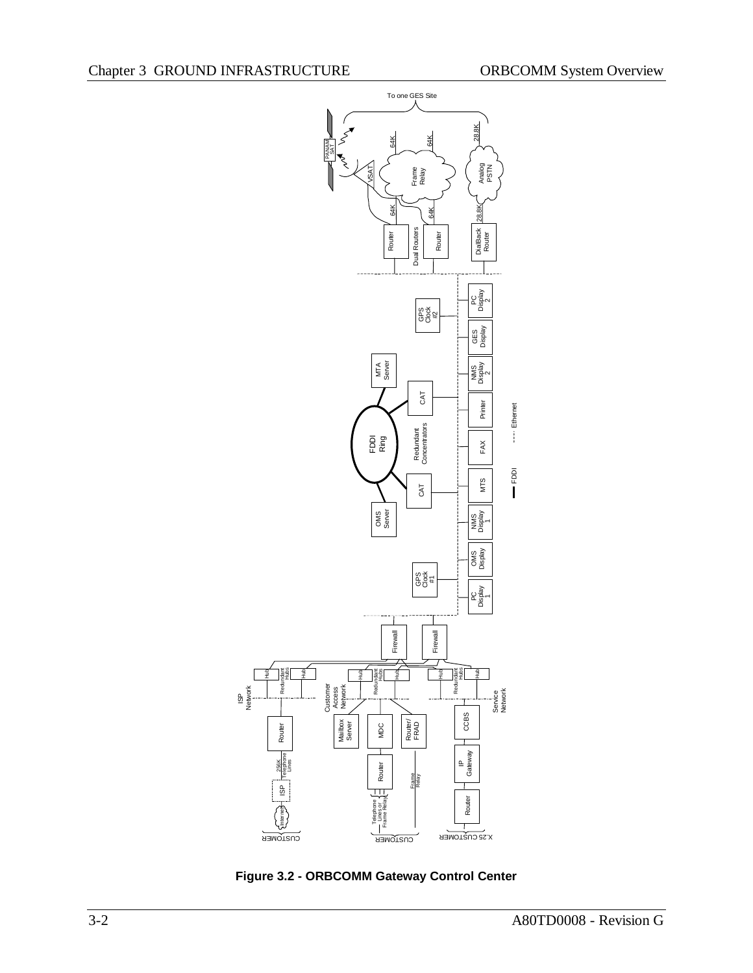ISP Network

<span id="page-14-0"></span>

**Figure 3.2 - ORBCOMM Gateway Control Center**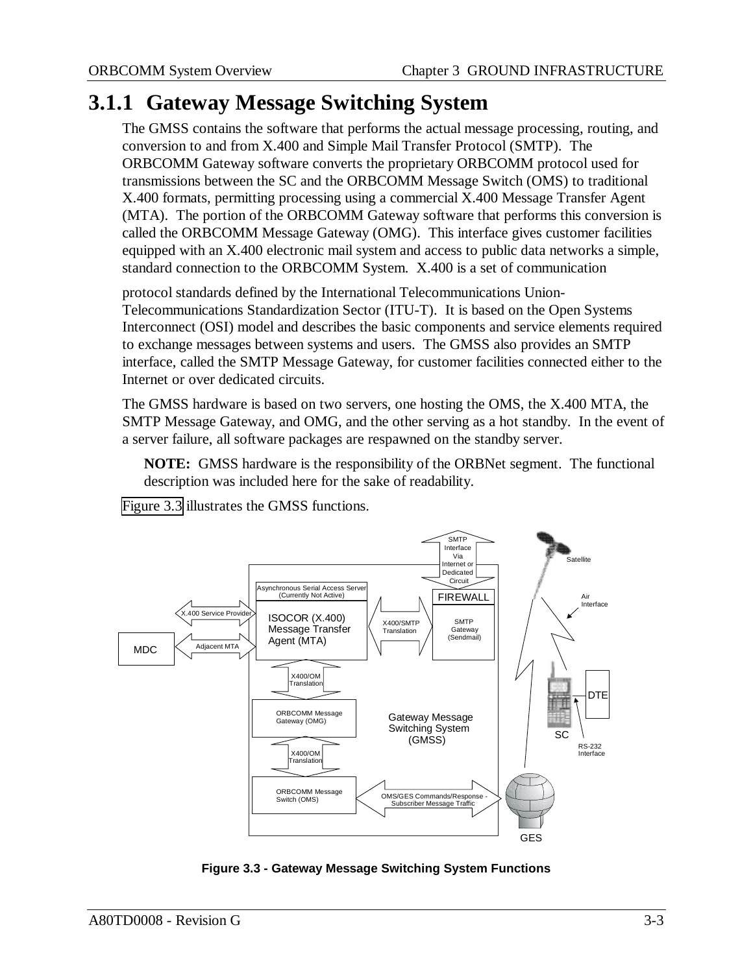#### **3.1.1 Gateway Message Switching System**

The GMSS contains the software that performs the actual message processing, routing, and conversion to and from X.400 and Simple Mail Transfer Protocol (SMTP). The ORBCOMM Gateway software converts the proprietary ORBCOMM protocol used for transmissions between the SC and the ORBCOMM Message Switch (OMS) to traditional X.400 formats, permitting processing using a commercial X.400 Message Transfer Agent (MTA). The portion of the ORBCOMM Gateway software that performs this conversion is called the ORBCOMM Message Gateway (OMG). This interface gives customer facilities equipped with an X.400 electronic mail system and access to public data networks a simple, standard connection to the ORBCOMM System. X.400 is a set of communication

protocol standards defined by the International Telecommunications Union-Telecommunications Standardization Sector (ITU-T). It is based on the Open Systems Interconnect (OSI) model and describes the basic components and service elements required to exchange messages between systems and users. The GMSS also provides an SMTP interface, called the SMTP Message Gateway, for customer facilities connected either to the Internet or over dedicated circuits.

The GMSS hardware is based on two servers, one hosting the OMS, the X.400 MTA, the SMTP Message Gateway, and OMG, and the other serving as a hot standby. In the event of a server failure, all software packages are respawned on the standby server.

**NOTE:** GMSS hardware is the responsibility of the ORBNet segment. The functional description was included here for the sake of readability.

Figure 3.3 illustrates the GMSS functions.



**Figure 3.3 - Gateway Message Switching System Functions**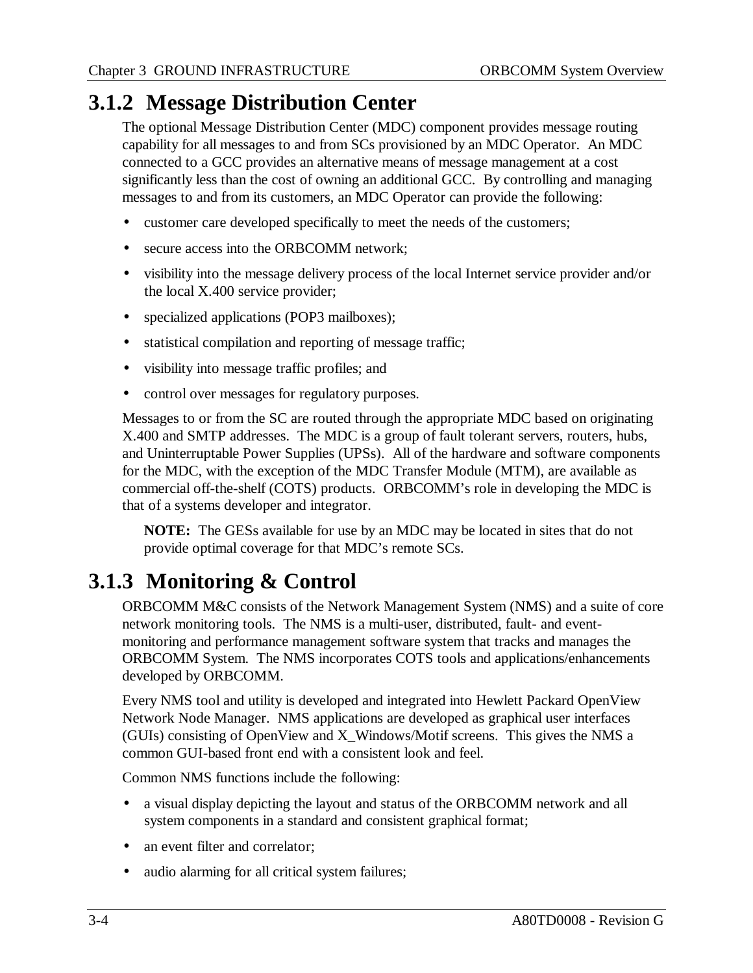### **3.1.2 Message Distribution Center**

The optional Message Distribution Center (MDC) component provides message routing capability for all messages to and from SCs provisioned by an MDC Operator. An MDC connected to a GCC provides an alternative means of message management at a cost significantly less than the cost of owning an additional GCC. By controlling and managing messages to and from its customers, an MDC Operator can provide the following:

- customer care developed specifically to meet the needs of the customers;
- secure access into the ORBCOMM network;
- visibility into the message delivery process of the local Internet service provider and/or the local X.400 service provider;
- specialized applications (POP3 mailboxes);
- statistical compilation and reporting of message traffic;
- visibility into message traffic profiles; and
- control over messages for regulatory purposes.

Messages to or from the SC are routed through the appropriate MDC based on originating X.400 and SMTP addresses. The MDC is a group of fault tolerant servers, routers, hubs, and Uninterruptable Power Supplies (UPSs). All of the hardware and software components for the MDC, with the exception of the MDC Transfer Module (MTM), are available as commercial off-the-shelf (COTS) products. ORBCOMM's role in developing the MDC is that of a systems developer and integrator.

**NOTE:** The GESs available for use by an MDC may be located in sites that do not provide optimal coverage for that MDC's remote SCs.

### **3.1.3 Monitoring & Control**

ORBCOMM M&C consists of the Network Management System (NMS) and a suite of core network monitoring tools. The NMS is a multi-user, distributed, fault- and eventmonitoring and performance management software system that tracks and manages the ORBCOMM System. The NMS incorporates COTS tools and applications/enhancements developed by ORBCOMM.

Every NMS tool and utility is developed and integrated into Hewlett Packard OpenView Network Node Manager. NMS applications are developed as graphical user interfaces (GUIs) consisting of OpenView and X\_Windows/Motif screens. This gives the NMS a common GUI-based front end with a consistent look and feel.

Common NMS functions include the following:

- a visual display depicting the layout and status of the ORBCOMM network and all system components in a standard and consistent graphical format;
- an event filter and correlator;
- audio alarming for all critical system failures;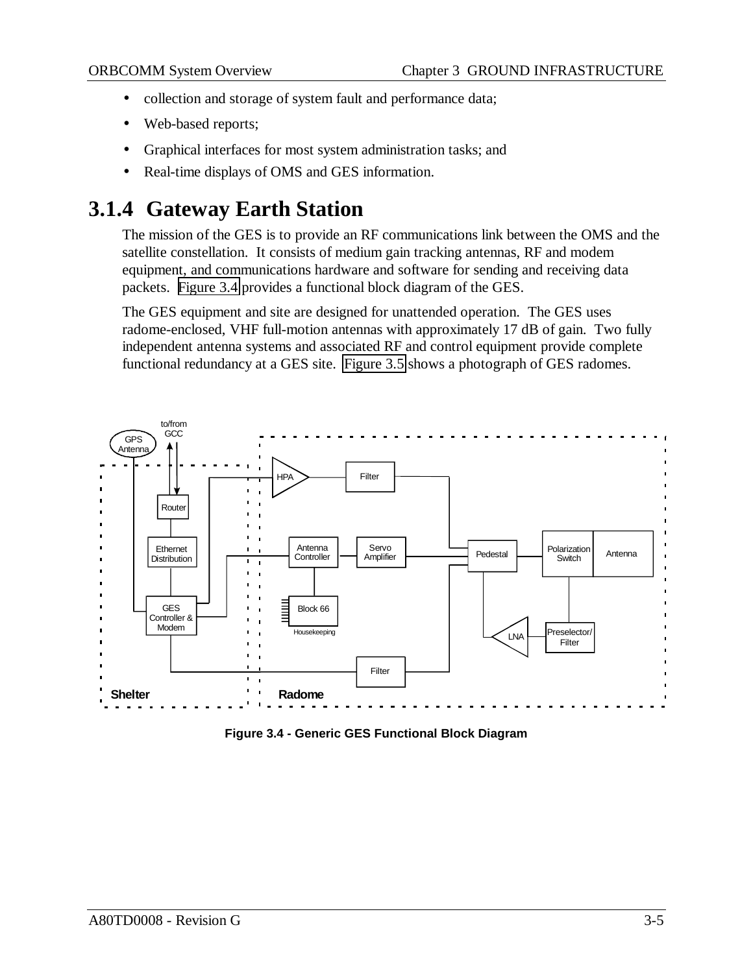- collection and storage of system fault and performance data;
- Web-based reports;
- Graphical interfaces for most system administration tasks; and
- Real-time displays of OMS and GES information.

#### **3.1.4 Gateway Earth Station**

The mission of the GES is to provide an RF communications link between the OMS and the satellite constellation. It consists of medium gain tracking antennas, RF and modem equipment, and communications hardware and software for sending and receiving data packets. Figure 3.4 provides a functional block diagram of the GES.

The GES equipment and site are designed for unattended operation. The GES uses radome-enclosed, VHF full-motion antennas with approximately 17 dB of gain. Two fully independent antenna systems and associated RF and control equipment provide complete functional redundancy at a GES site. [Figure 3.5](#page-18-0) shows a photograph of GES radomes.



**Figure 3.4 - Generic GES Functional Block Diagram**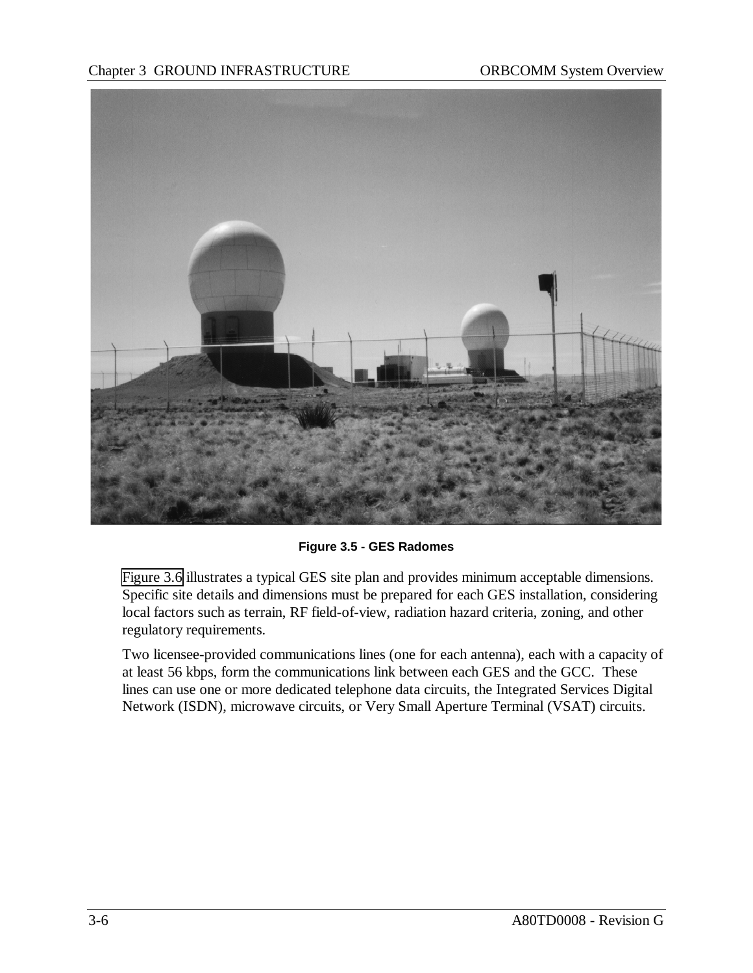<span id="page-18-0"></span>

**Figure 3.5 - GES Radomes**

[Figure 3.6](#page-19-0) illustrates a typical GES site plan and provides minimum acceptable dimensions. Specific site details and dimensions must be prepared for each GES installation, considering local factors such as terrain, RF field-of-view, radiation hazard criteria, zoning, and other regulatory requirements.

Two licensee-provided communications lines (one for each antenna), each with a capacity of at least 56 kbps, form the communications link between each GES and the GCC. These lines can use one or more dedicated telephone data circuits, the Integrated Services Digital Network (ISDN), microwave circuits, or Very Small Aperture Terminal (VSAT) circuits.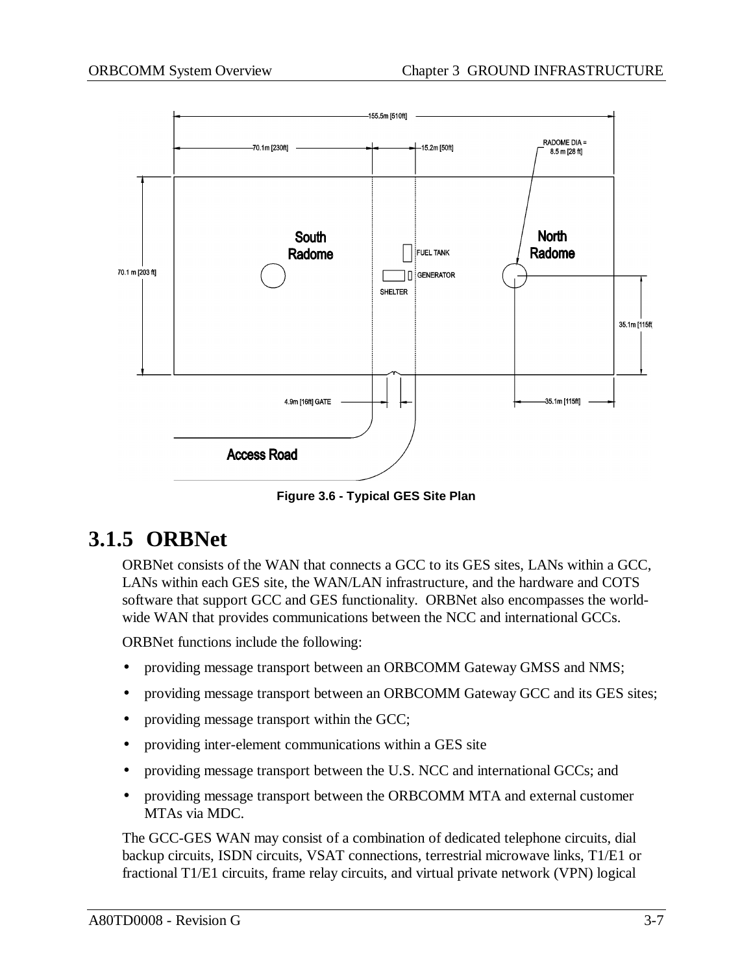<span id="page-19-0"></span>

**Figure 3.6 - Typical GES Site Plan**

#### **3.1.5 ORBNet**

ORBNet consists of the WAN that connects a GCC to its GES sites, LANs within a GCC, LANs within each GES site, the WAN/LAN infrastructure, and the hardware and COTS software that support GCC and GES functionality. ORBNet also encompasses the worldwide WAN that provides communications between the NCC and international GCCs.

ORBNet functions include the following:

- providing message transport between an ORBCOMM Gateway GMSS and NMS;
- providing message transport between an ORBCOMM Gateway GCC and its GES sites;
- providing message transport within the GCC;
- providing inter-element communications within a GES site
- providing message transport between the U.S. NCC and international GCCs; and
- providing message transport between the ORBCOMM MTA and external customer MTAs via MDC.

The GCC-GES WAN may consist of a combination of dedicated telephone circuits, dial backup circuits, ISDN circuits, VSAT connections, terrestrial microwave links, T1/E1 or fractional T1/E1 circuits, frame relay circuits, and virtual private network (VPN) logical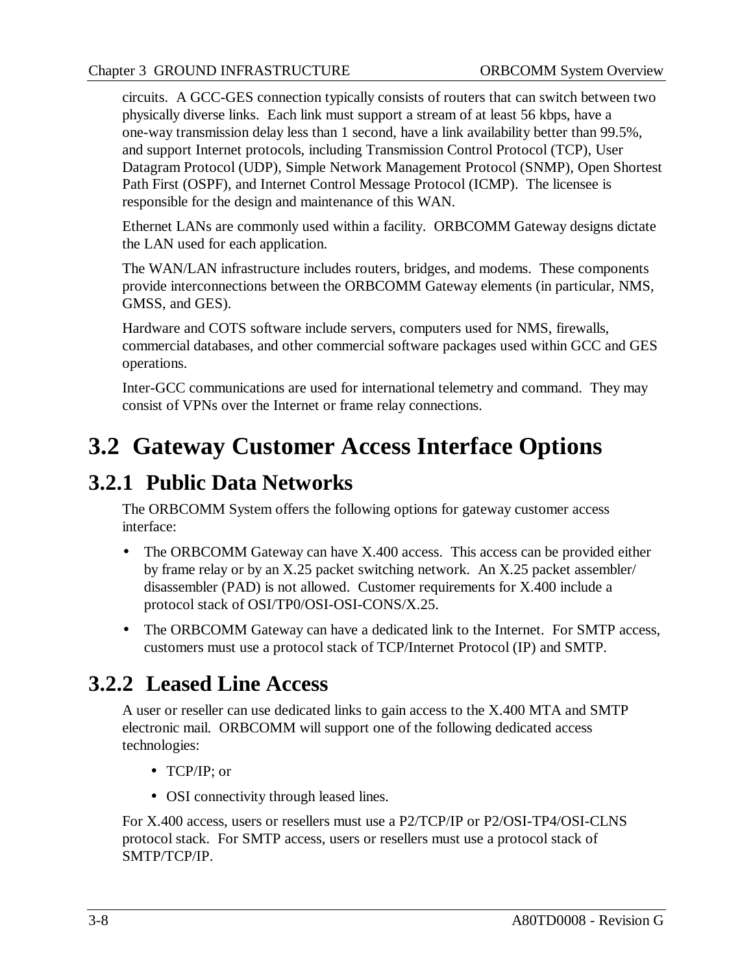circuits. A GCC-GES connection typically consists of routers that can switch between two physically diverse links. Each link must support a stream of at least 56 kbps, have a one-way transmission delay less than 1 second, have a link availability better than 99.5%, and support Internet protocols, including Transmission Control Protocol (TCP), User Datagram Protocol (UDP), Simple Network Management Protocol (SNMP), Open Shortest Path First (OSPF), and Internet Control Message Protocol (ICMP). The licensee is responsible for the design and maintenance of this WAN.

Ethernet LANs are commonly used within a facility. ORBCOMM Gateway designs dictate the LAN used for each application.

The WAN/LAN infrastructure includes routers, bridges, and modems. These components provide interconnections between the ORBCOMM Gateway elements (in particular, NMS, GMSS, and GES).

Hardware and COTS software include servers, computers used for NMS, firewalls, commercial databases, and other commercial software packages used within GCC and GES operations.

Inter-GCC communications are used for international telemetry and command. They may consist of VPNs over the Internet or frame relay connections.

### **3.2 Gateway Customer Access Interface Options**

#### **3.2.1 Public Data Networks**

The ORBCOMM System offers the following options for gateway customer access interface:

- The ORBCOMM Gateway can have X.400 access. This access can be provided either by frame relay or by an X.25 packet switching network. An X.25 packet assembler/ disassembler (PAD) is not allowed. Customer requirements for X.400 include a protocol stack of OSI/TP0/OSI-OSI-CONS/X.25.
- The ORBCOMM Gateway can have a dedicated link to the Internet. For SMTP access, customers must use a protocol stack of TCP/Internet Protocol (IP) and SMTP.

### **3.2.2 Leased Line Access**

A user or reseller can use dedicated links to gain access to the X.400 MTA and SMTP electronic mail. ORBCOMM will support one of the following dedicated access technologies:

- TCP/IP; or
- OSI connectivity through leased lines.

For X.400 access, users or resellers must use a P2/TCP/IP or P2/OSI-TP4/OSI-CLNS protocol stack. For SMTP access, users or resellers must use a protocol stack of SMTP/TCP/IP.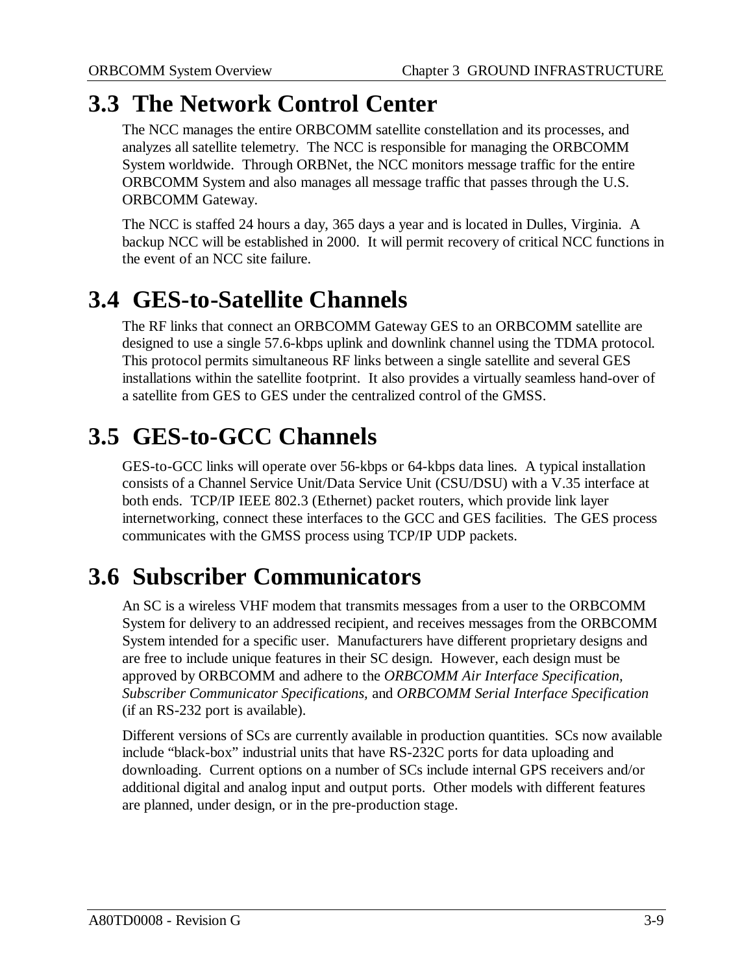### **3.3 The Network Control Center**

The NCC manages the entire ORBCOMM satellite constellation and its processes, and analyzes all satellite telemetry. The NCC is responsible for managing the ORBCOMM System worldwide. Through ORBNet, the NCC monitors message traffic for the entire ORBCOMM System and also manages all message traffic that passes through the U.S. ORBCOMM Gateway.

The NCC is staffed 24 hours a day, 365 days a year and is located in Dulles, Virginia. A backup NCC will be established in 2000. It will permit recovery of critical NCC functions in the event of an NCC site failure.

### **3.4 GES-to-Satellite Channels**

The RF links that connect an ORBCOMM Gateway GES to an ORBCOMM satellite are designed to use a single 57.6-kbps uplink and downlink channel using the TDMA protocol. This protocol permits simultaneous RF links between a single satellite and several GES installations within the satellite footprint. It also provides a virtually seamless hand-over of a satellite from GES to GES under the centralized control of the GMSS.

### **3.5 GES-to-GCC Channels**

GES-to-GCC links will operate over 56-kbps or 64-kbps data lines. A typical installation consists of a Channel Service Unit/Data Service Unit (CSU/DSU) with a V.35 interface at both ends. TCP/IP IEEE 802.3 (Ethernet) packet routers, which provide link layer internetworking, connect these interfaces to the GCC and GES facilities. The GES process communicates with the GMSS process using TCP/IP UDP packets.

### **3.6 Subscriber Communicators**

An SC is a wireless VHF modem that transmits messages from a user to the ORBCOMM System for delivery to an addressed recipient, and receives messages from the ORBCOMM System intended for a specific user. Manufacturers have different proprietary designs and are free to include unique features in their SC design. However, each design must be approved by ORBCOMM and adhere to the *ORBCOMM Air Interface Specification, Subscriber Communicator Specifications,* and *ORBCOMM Serial Interface Specification* (if an RS-232 port is available).

Different versions of SCs are currently available in production quantities. SCs now available include "black-box" industrial units that have RS-232C ports for data uploading and downloading. Current options on a number of SCs include internal GPS receivers and/or additional digital and analog input and output ports. Other models with different features are planned, under design, or in the pre-production stage.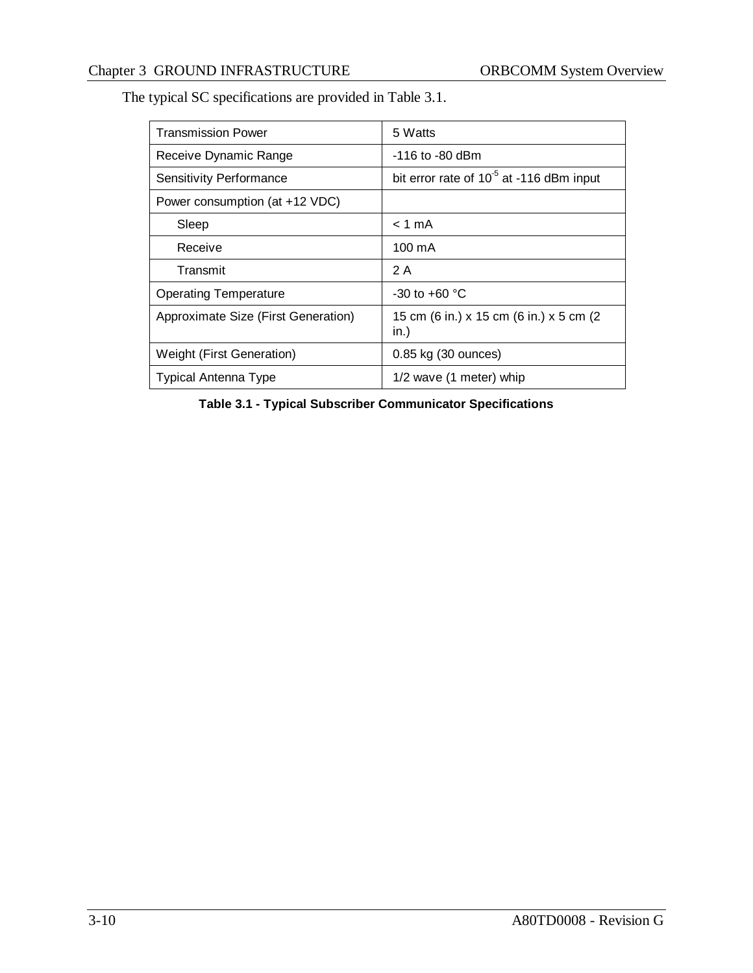The typical SC specifications are provided in Table 3.1.

| <b>Transmission Power</b>           | 5 Watts                                              |  |
|-------------------------------------|------------------------------------------------------|--|
| Receive Dynamic Range               | $-116$ to $-80$ dBm                                  |  |
| <b>Sensitivity Performance</b>      | bit error rate of 10 <sup>-5</sup> at -116 dBm input |  |
| Power consumption (at +12 VDC)      |                                                      |  |
| Sleep                               | $< 1$ mA                                             |  |
| Receive                             | $100 \text{ mA}$                                     |  |
| Transmit                            | 2 A                                                  |  |
| <b>Operating Temperature</b>        | $-30$ to $+60$ °C                                    |  |
| Approximate Size (First Generation) | 15 cm (6 in.) x 15 cm (6 in.) x 5 cm (2<br>in.)      |  |
| <b>Weight (First Generation)</b>    | 0.85 kg (30 ounces)                                  |  |
| <b>Typical Antenna Type</b>         | 1/2 wave (1 meter) whip                              |  |

**Table 3.1 - Typical Subscriber Communicator Specifications**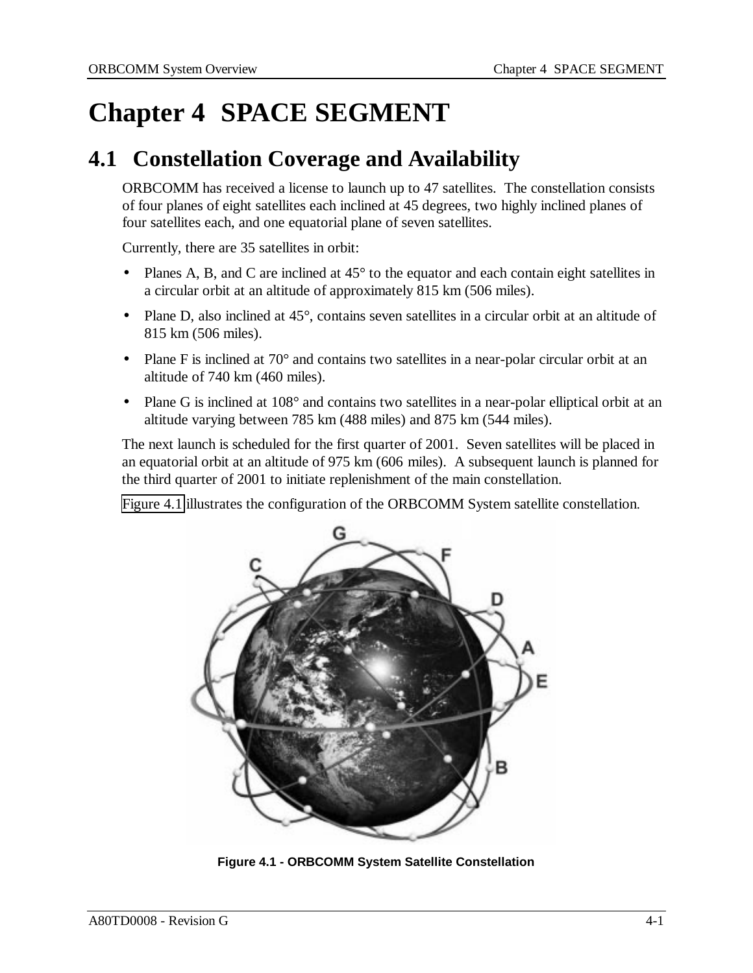# **Chapter 4 SPACE SEGMENT**

### **4.1 Constellation Coverage and Availability**

ORBCOMM has received a license to launch up to 47 satellites. The constellation consists of four planes of eight satellites each inclined at 45 degrees, two highly inclined planes of four satellites each, and one equatorial plane of seven satellites.

Currently, there are 35 satellites in orbit:

- Planes A, B, and C are inclined at 45<sup>°</sup> to the equator and each contain eight satellites in a circular orbit at an altitude of approximately 815 km (506 miles).
- Plane D, also inclined at 45°, contains seven satellites in a circular orbit at an altitude of 815 km (506 miles).
- Plane F is inclined at  $70^{\circ}$  and contains two satellites in a near-polar circular orbit at an altitude of 740 km (460 miles).
- Plane G is inclined at 108° and contains two satellites in a near-polar elliptical orbit at an altitude varying between 785 km (488 miles) and 875 km (544 miles).

The next launch is scheduled for the first quarter of 2001. Seven satellites will be placed in an equatorial orbit at an altitude of 975 km (606 miles). A subsequent launch is planned for the third quarter of 2001 to initiate replenishment of the main constellation.

Figure 4.1 illustrates the configuration of the ORBCOMM System satellite constellation.



**Figure 4.1 - ORBCOMM System Satellite Constellation**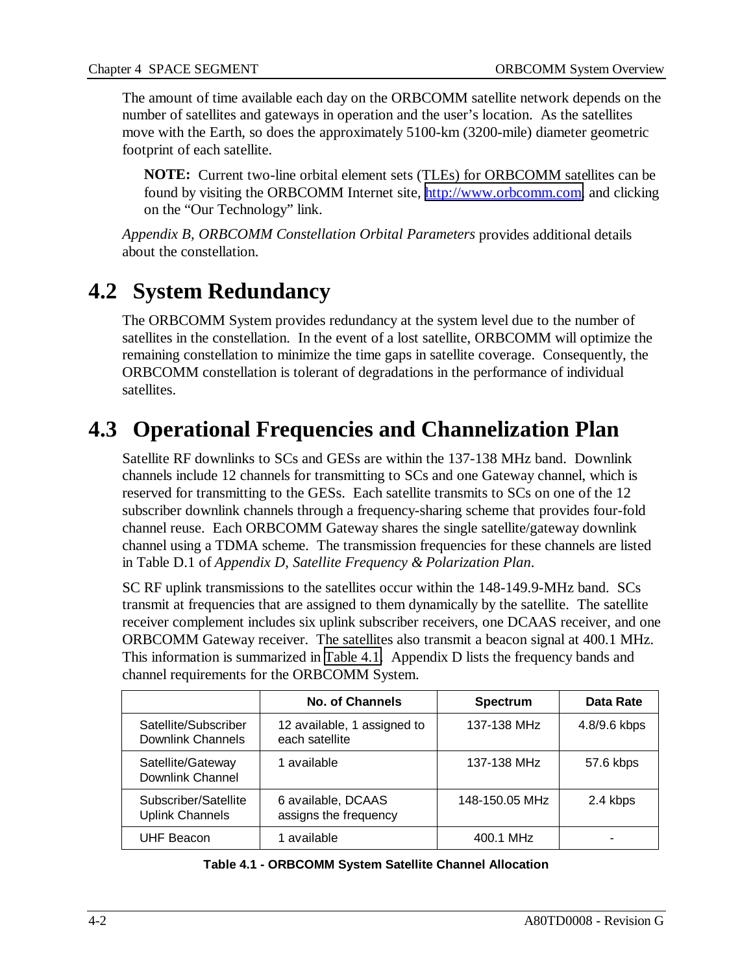The amount of time available each day on the ORBCOMM satellite network depends on the number of satellites and gateways in operation and the user's location. As the satellites move with the Earth, so does the approximately 5100-km (3200-mile) diameter geometric footprint of each satellite.

**NOTE:** Current two-line orbital element sets (TLEs) for ORBCOMM satellites can be found by visiting the ORBCOMM Internet site, [http://www.orbcomm.com,](http://www.orbcomm.com/) and clicking on the "Our Technology" link.

*Appendix B, ORBCOMM Constellation Orbital Parameters* provides additional details about the constellation.

### **4.2 System Redundancy**

The ORBCOMM System provides redundancy at the system level due to the number of satellites in the constellation. In the event of a lost satellite, ORBCOMM will optimize the remaining constellation to minimize the time gaps in satellite coverage. Consequently, the ORBCOMM constellation is tolerant of degradations in the performance of individual satellites.

### **4.3 Operational Frequencies and Channelization Plan**

Satellite RF downlinks to SCs and GESs are within the 137-138 MHz band. Downlink channels include 12 channels for transmitting to SCs and one Gateway channel, which is reserved for transmitting to the GESs. Each satellite transmits to SCs on one of the 12 subscriber downlink channels through a frequency-sharing scheme that provides four-fold channel reuse. Each ORBCOMM Gateway shares the single satellite/gateway downlink channel using a TDMA scheme. The transmission frequencies for these channels are listed in Table D.1 of *Appendix D, Satellite Frequency & Polarization Plan*.

SC RF uplink transmissions to the satellites occur within the 148-149.9-MHz band. SCs transmit at frequencies that are assigned to them dynamically by the satellite. The satellite receiver complement includes six uplink subscriber receivers, one DCAAS receiver, and one ORBCOMM Gateway receiver. The satellites also transmit a beacon signal at 400.1 MHz. This information is summarized in Table 4.1. Appendix D lists the frequency bands and channel requirements for the ORBCOMM System.

|                                                | <b>No. of Channels</b>                        | <b>Spectrum</b> | Data Rate                |
|------------------------------------------------|-----------------------------------------------|-----------------|--------------------------|
| Satellite/Subscriber<br>Downlink Channels      | 12 available, 1 assigned to<br>each satellite | 137-138 MHz     | 4.8/9.6 kbps             |
| Satellite/Gateway<br>Downlink Channel          | 1 available                                   | 137-138 MHz     | 57.6 kbps                |
| Subscriber/Satellite<br><b>Uplink Channels</b> | 6 available, DCAAS<br>assigns the frequency   | 148-150.05 MHz  | 2.4 kbps                 |
| <b>UHF Beacon</b>                              | 1 available                                   | 400.1 MHz       | $\overline{\phantom{0}}$ |

| Table 4.1 - ORBCOMM System Satellite Channel Allocation |  |
|---------------------------------------------------------|--|
|---------------------------------------------------------|--|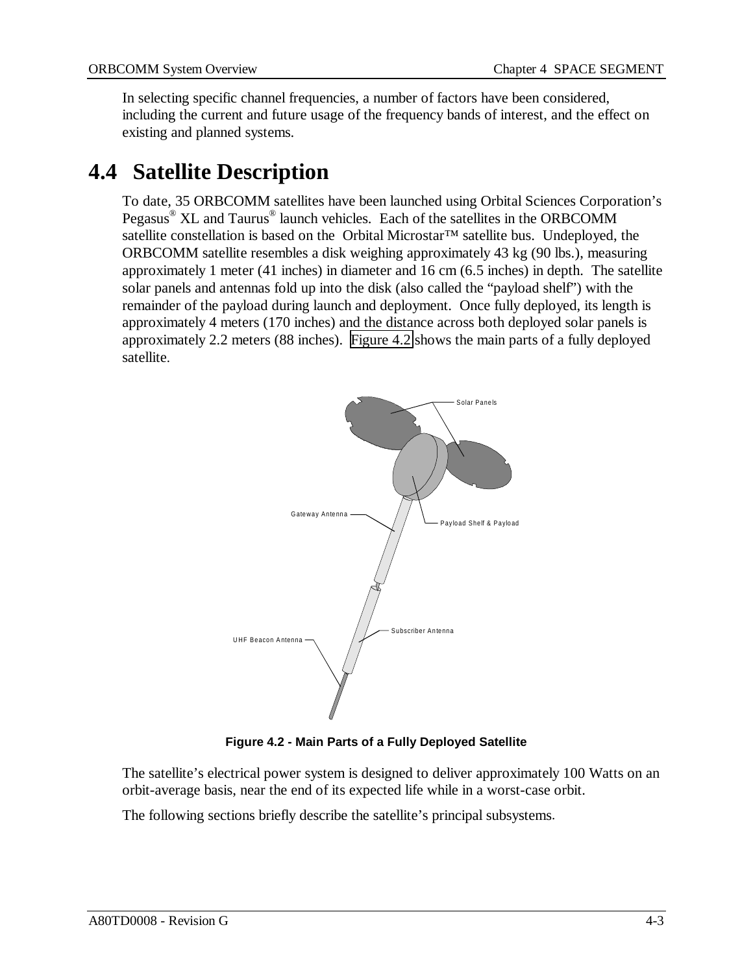In selecting specific channel frequencies, a number of factors have been considered, including the current and future usage of the frequency bands of interest, and the effect on existing and planned systems.

### **4.4 Satellite Description**

To date, 35 ORBCOMM satellites have been launched using Orbital Sciences Corporation's Pegasus® XL and Taurus® launch vehicles. Each of the satellites in the ORBCOMM satellite constellation is based on the Orbital Microstar™ satellite bus. Undeployed, the ORBCOMM satellite resembles a disk weighing approximately 43 kg (90 lbs.), measuring approximately 1 meter (41 inches) in diameter and 16 cm (6.5 inches) in depth. The satellite solar panels and antennas fold up into the disk (also called the "payload shelf") with the remainder of the payload during launch and deployment. Once fully deployed, its length is approximately 4 meters (170 inches) and the distance across both deployed solar panels is approximately 2.2 meters (88 inches). Figure 4.2 shows the main parts of a fully deployed satellite.



**Figure 4.2 - Main Parts of a Fully Deployed Satellite**

The satellite's electrical power system is designed to deliver approximately 100 Watts on an orbit-average basis, near the end of its expected life while in a worst-case orbit.

The following sections briefly describe the satellite's principal subsystems.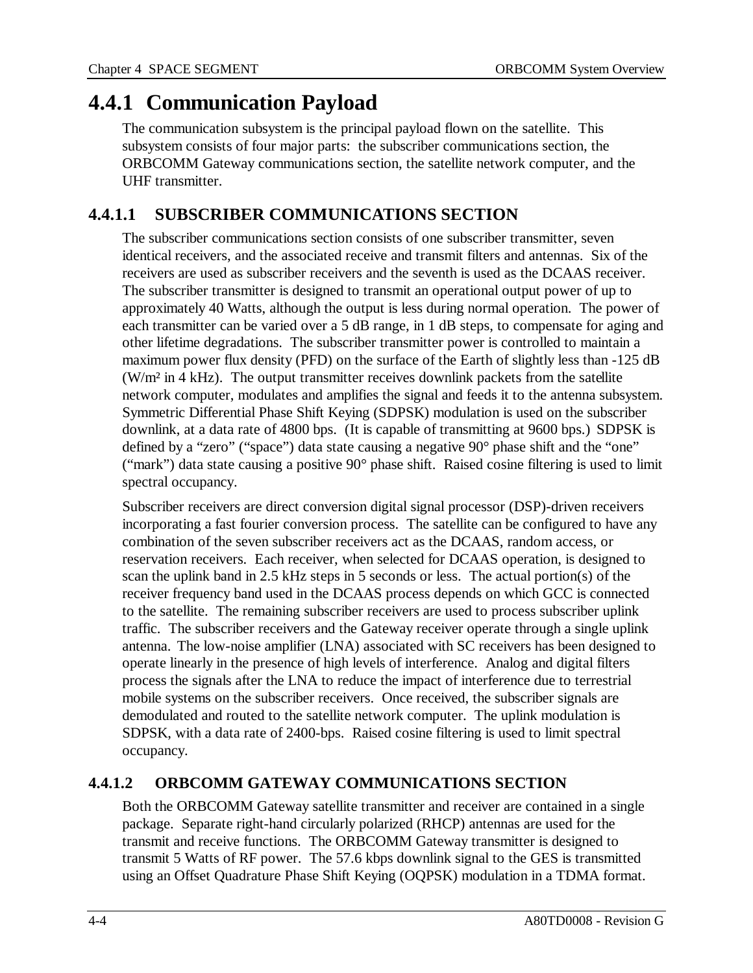#### **4.4.1 Communication Payload**

The communication subsystem is the principal payload flown on the satellite. This subsystem consists of four major parts: the subscriber communications section, the ORBCOMM Gateway communications section, the satellite network computer, and the UHF transmitter.

#### **4.4.1.1 SUBSCRIBER COMMUNICATIONS SECTION**

The subscriber communications section consists of one subscriber transmitter, seven identical receivers, and the associated receive and transmit filters and antennas. Six of the receivers are used as subscriber receivers and the seventh is used as the DCAAS receiver. The subscriber transmitter is designed to transmit an operational output power of up to approximately 40 Watts, although the output is less during normal operation. The power of each transmitter can be varied over a 5 dB range, in 1 dB steps, to compensate for aging and other lifetime degradations. The subscriber transmitter power is controlled to maintain a maximum power flux density (PFD) on the surface of the Earth of slightly less than -125 dB (W/m² in 4 kHz). The output transmitter receives downlink packets from the satellite network computer, modulates and amplifies the signal and feeds it to the antenna subsystem. Symmetric Differential Phase Shift Keying (SDPSK) modulation is used on the subscriber downlink, at a data rate of 4800 bps. (It is capable of transmitting at 9600 bps.) SDPSK is defined by a "zero" ("space") data state causing a negative 90° phase shift and the "one" ("mark") data state causing a positive 90° phase shift. Raised cosine filtering is used to limit spectral occupancy.

Subscriber receivers are direct conversion digital signal processor (DSP)-driven receivers incorporating a fast fourier conversion process. The satellite can be configured to have any combination of the seven subscriber receivers act as the DCAAS, random access, or reservation receivers. Each receiver, when selected for DCAAS operation, is designed to scan the uplink band in 2.5 kHz steps in 5 seconds or less. The actual portion(s) of the receiver frequency band used in the DCAAS process depends on which GCC is connected to the satellite. The remaining subscriber receivers are used to process subscriber uplink traffic. The subscriber receivers and the Gateway receiver operate through a single uplink antenna. The low-noise amplifier (LNA) associated with SC receivers has been designed to operate linearly in the presence of high levels of interference. Analog and digital filters process the signals after the LNA to reduce the impact of interference due to terrestrial mobile systems on the subscriber receivers. Once received, the subscriber signals are demodulated and routed to the satellite network computer. The uplink modulation is SDPSK, with a data rate of 2400-bps. Raised cosine filtering is used to limit spectral occupancy.

#### **4.4.1.2 ORBCOMM GATEWAY COMMUNICATIONS SECTION**

Both the ORBCOMM Gateway satellite transmitter and receiver are contained in a single package. Separate right-hand circularly polarized (RHCP) antennas are used for the transmit and receive functions. The ORBCOMM Gateway transmitter is designed to transmit 5 Watts of RF power. The 57.6 kbps downlink signal to the GES is transmitted using an Offset Quadrature Phase Shift Keying (OQPSK) modulation in a TDMA format.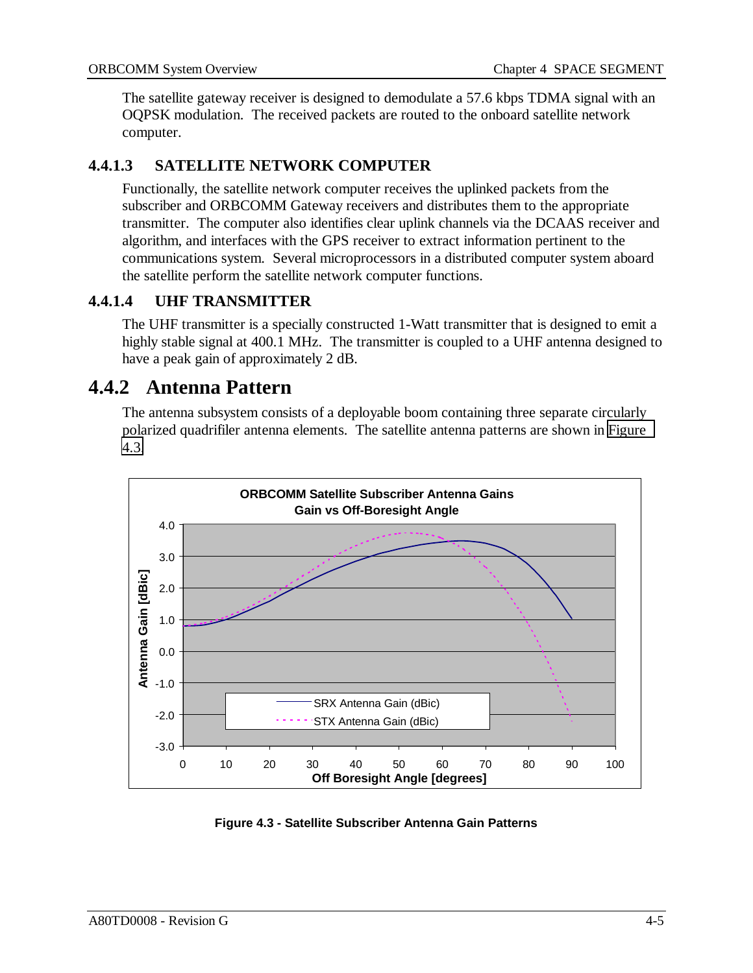The satellite gateway receiver is designed to demodulate a 57.6 kbps TDMA signal with an OQPSK modulation. The received packets are routed to the onboard satellite network computer.

#### **4.4.1.3 SATELLITE NETWORK COMPUTER**

Functionally, the satellite network computer receives the uplinked packets from the subscriber and ORBCOMM Gateway receivers and distributes them to the appropriate transmitter. The computer also identifies clear uplink channels via the DCAAS receiver and algorithm, and interfaces with the GPS receiver to extract information pertinent to the communications system. Several microprocessors in a distributed computer system aboard the satellite perform the satellite network computer functions.

#### **4.4.1.4 UHF TRANSMITTER**

The UHF transmitter is a specially constructed 1-Watt transmitter that is designed to emit a highly stable signal at 400.1 MHz. The transmitter is coupled to a UHF antenna designed to have a peak gain of approximately 2 dB.

#### **4.4.2 Antenna Pattern**

The antenna subsystem consists of a deployable boom containing three separate circularly polarized quadrifiler antenna elements. The satellite antenna patterns are shown in Figure 4.3.



**Figure 4.3 - Satellite Subscriber Antenna Gain Patterns**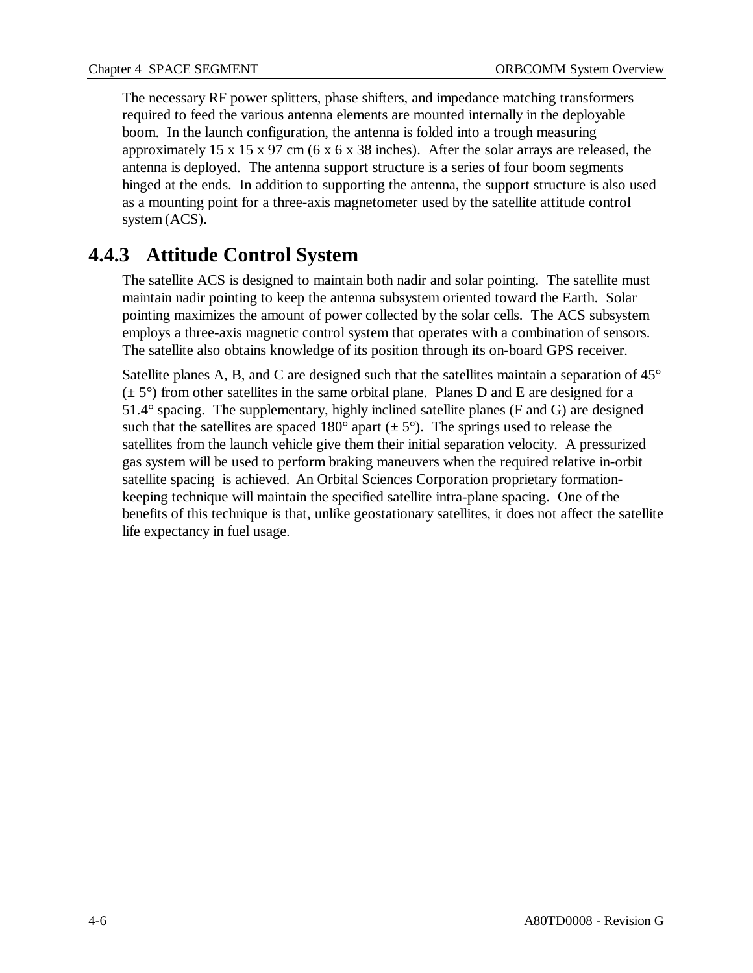The necessary RF power splitters, phase shifters, and impedance matching transformers required to feed the various antenna elements are mounted internally in the deployable boom. In the launch configuration, the antenna is folded into a trough measuring approximately 15 x 15 x 97 cm (6 x 6 x 38 inches). After the solar arrays are released, the antenna is deployed. The antenna support structure is a series of four boom segments hinged at the ends. In addition to supporting the antenna, the support structure is also used as a mounting point for a three-axis magnetometer used by the satellite attitude control system (ACS).

#### **4.4.3 Attitude Control System**

The satellite ACS is designed to maintain both nadir and solar pointing. The satellite must maintain nadir pointing to keep the antenna subsystem oriented toward the Earth. Solar pointing maximizes the amount of power collected by the solar cells. The ACS subsystem employs a three-axis magnetic control system that operates with a combination of sensors. The satellite also obtains knowledge of its position through its on-board GPS receiver.

Satellite planes A, B, and C are designed such that the satellites maintain a separation of 45°  $(\pm 5^{\circ})$  from other satellites in the same orbital plane. Planes D and E are designed for a 51.4° spacing. The supplementary, highly inclined satellite planes (F and G) are designed such that the satellites are spaced 180 $^{\circ}$  apart ( $\pm$  5 $^{\circ}$ ). The springs used to release the satellites from the launch vehicle give them their initial separation velocity. A pressurized gas system will be used to perform braking maneuvers when the required relative in-orbit satellite spacing is achieved. An Orbital Sciences Corporation proprietary formationkeeping technique will maintain the specified satellite intra-plane spacing. One of the benefits of this technique is that, unlike geostationary satellites, it does not affect the satellite life expectancy in fuel usage.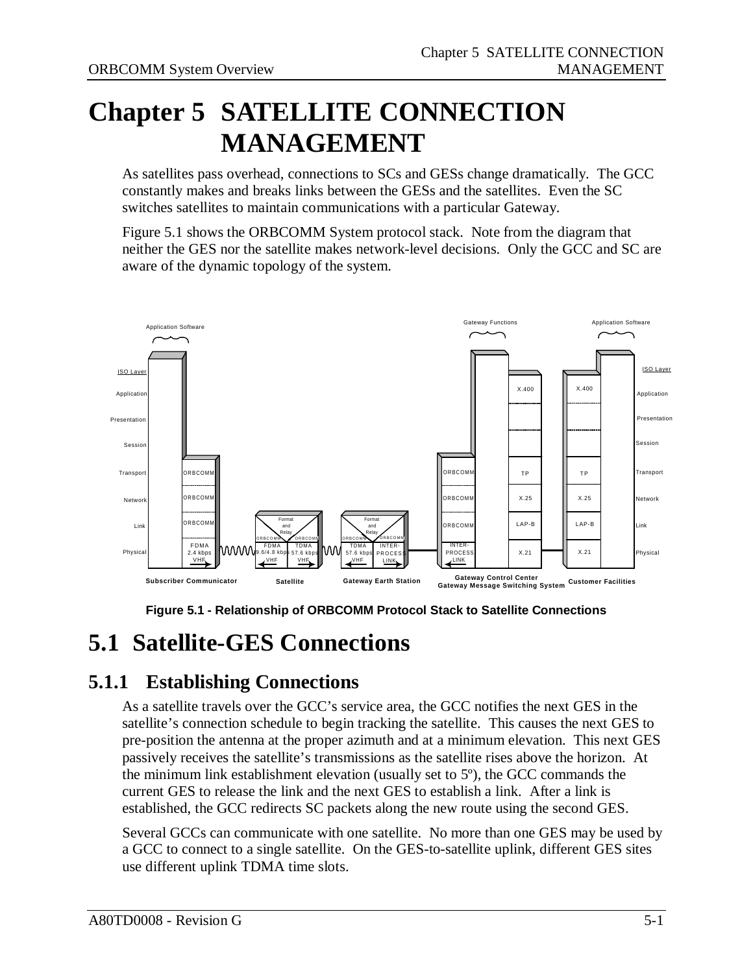# **Chapter 5 SATELLITE CONNECTION MANAGEMENT**

As satellites pass overhead, connections to SCs and GESs change dramatically. The GCC constantly makes and breaks links between the GESs and the satellites. Even the SC switches satellites to maintain communications with a particular Gateway.

Figure 5.1 shows the ORBCOMM System protocol stack. Note from the diagram that neither the GES nor the satellite makes network-level decisions. Only the GCC and SC are aware of the dynamic topology of the system.



**Figure 5.1 - Relationship of ORBCOMM Protocol Stack to Satellite Connections**

### **5.1 Satellite-GES Connections**

#### **5.1.1 Establishing Connections**

As a satellite travels over the GCC's service area, the GCC notifies the next GES in the satellite's connection schedule to begin tracking the satellite. This causes the next GES to pre-position the antenna at the proper azimuth and at a minimum elevation. This next GES passively receives the satellite's transmissions as the satellite rises above the horizon. At the minimum link establishment elevation (usually set to 5º), the GCC commands the current GES to release the link and the next GES to establish a link. After a link is established, the GCC redirects SC packets along the new route using the second GES.

Several GCCs can communicate with one satellite. No more than one GES may be used by a GCC to connect to a single satellite. On the GES-to-satellite uplink, different GES sites use different uplink TDMA time slots.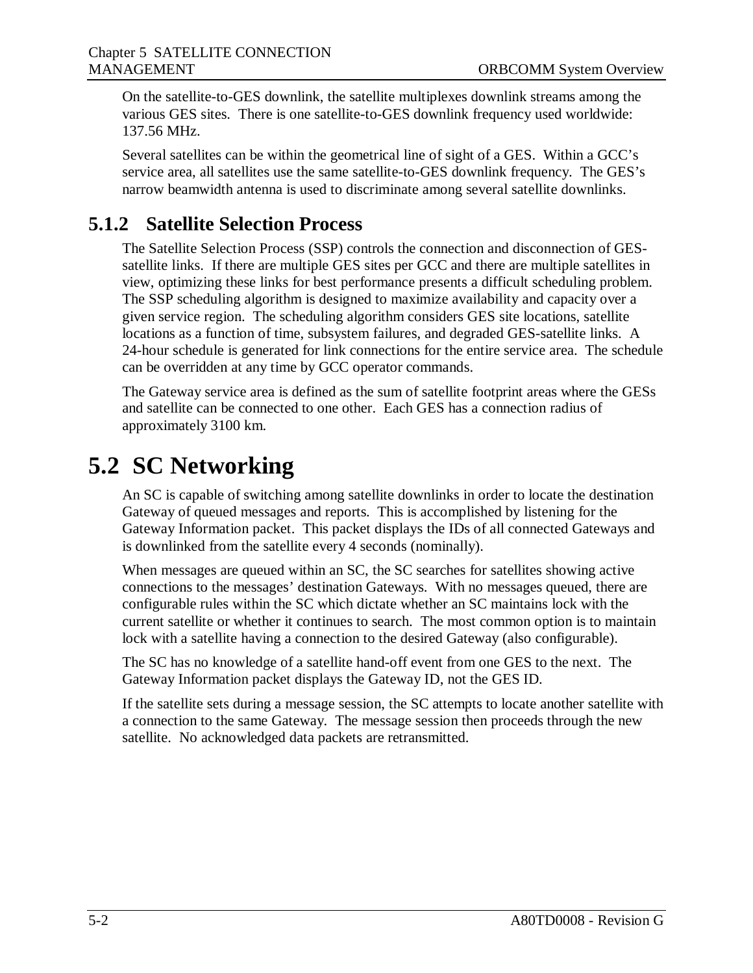On the satellite-to-GES downlink, the satellite multiplexes downlink streams among the various GES sites. There is one satellite-to-GES downlink frequency used worldwide: 137.56 MHz.

Several satellites can be within the geometrical line of sight of a GES. Within a GCC's service area, all satellites use the same satellite-to-GES downlink frequency. The GES's narrow beamwidth antenna is used to discriminate among several satellite downlinks.

#### **5.1.2 Satellite Selection Process**

The Satellite Selection Process (SSP) controls the connection and disconnection of GESsatellite links. If there are multiple GES sites per GCC and there are multiple satellites in view, optimizing these links for best performance presents a difficult scheduling problem. The SSP scheduling algorithm is designed to maximize availability and capacity over a given service region. The scheduling algorithm considers GES site locations, satellite locations as a function of time, subsystem failures, and degraded GES-satellite links. A 24-hour schedule is generated for link connections for the entire service area. The schedule can be overridden at any time by GCC operator commands.

The Gateway service area is defined as the sum of satellite footprint areas where the GESs and satellite can be connected to one other. Each GES has a connection radius of approximately 3100 km.

### **5.2 SC Networking**

An SC is capable of switching among satellite downlinks in order to locate the destination Gateway of queued messages and reports. This is accomplished by listening for the Gateway Information packet. This packet displays the IDs of all connected Gateways and is downlinked from the satellite every 4 seconds (nominally).

When messages are queued within an SC, the SC searches for satellites showing active connections to the messages' destination Gateways. With no messages queued, there are configurable rules within the SC which dictate whether an SC maintains lock with the current satellite or whether it continues to search. The most common option is to maintain lock with a satellite having a connection to the desired Gateway (also configurable).

The SC has no knowledge of a satellite hand-off event from one GES to the next. The Gateway Information packet displays the Gateway ID, not the GES ID.

If the satellite sets during a message session, the SC attempts to locate another satellite with a connection to the same Gateway. The message session then proceeds through the new satellite. No acknowledged data packets are retransmitted.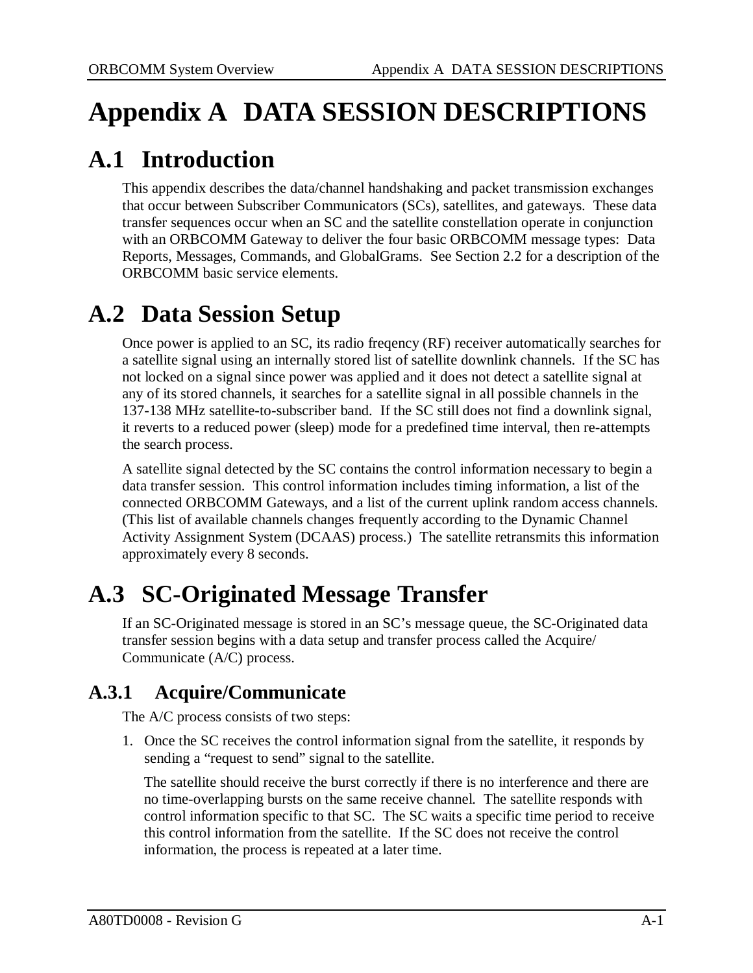# **Appendix A DATA SESSION DESCRIPTIONS**

### **A.1 Introduction**

This appendix describes the data/channel handshaking and packet transmission exchanges that occur between Subscriber Communicators (SCs), satellites, and gateways. These data transfer sequences occur when an SC and the satellite constellation operate in conjunction with an ORBCOMM Gateway to deliver the four basic ORBCOMM message types: Data Reports, Messages, Commands, and GlobalGrams. See Section 2.2 for a description of the ORBCOMM basic service elements.

### **A.2 Data Session Setup**

Once power is applied to an SC, its radio freqency (RF) receiver automatically searches for a satellite signal using an internally stored list of satellite downlink channels. If the SC has not locked on a signal since power was applied and it does not detect a satellite signal at any of its stored channels, it searches for a satellite signal in all possible channels in the 137-138 MHz satellite-to-subscriber band. If the SC still does not find a downlink signal, it reverts to a reduced power (sleep) mode for a predefined time interval, then re-attempts the search process.

A satellite signal detected by the SC contains the control information necessary to begin a data transfer session. This control information includes timing information, a list of the connected ORBCOMM Gateways, and a list of the current uplink random access channels. (This list of available channels changes frequently according to the Dynamic Channel Activity Assignment System (DCAAS) process.) The satellite retransmits this information approximately every 8 seconds.

### **A.3 SC-Originated Message Transfer**

If an SC-Originated message is stored in an SC's message queue, the SC-Originated data transfer session begins with a data setup and transfer process called the Acquire/ Communicate (A/C) process.

#### **A.3.1 Acquire/Communicate**

The A/C process consists of two steps:

1. Once the SC receives the control information signal from the satellite, it responds by sending a "request to send" signal to the satellite.

The satellite should receive the burst correctly if there is no interference and there are no time-overlapping bursts on the same receive channel. The satellite responds with control information specific to that SC. The SC waits a specific time period to receive this control information from the satellite. If the SC does not receive the control information, the process is repeated at a later time.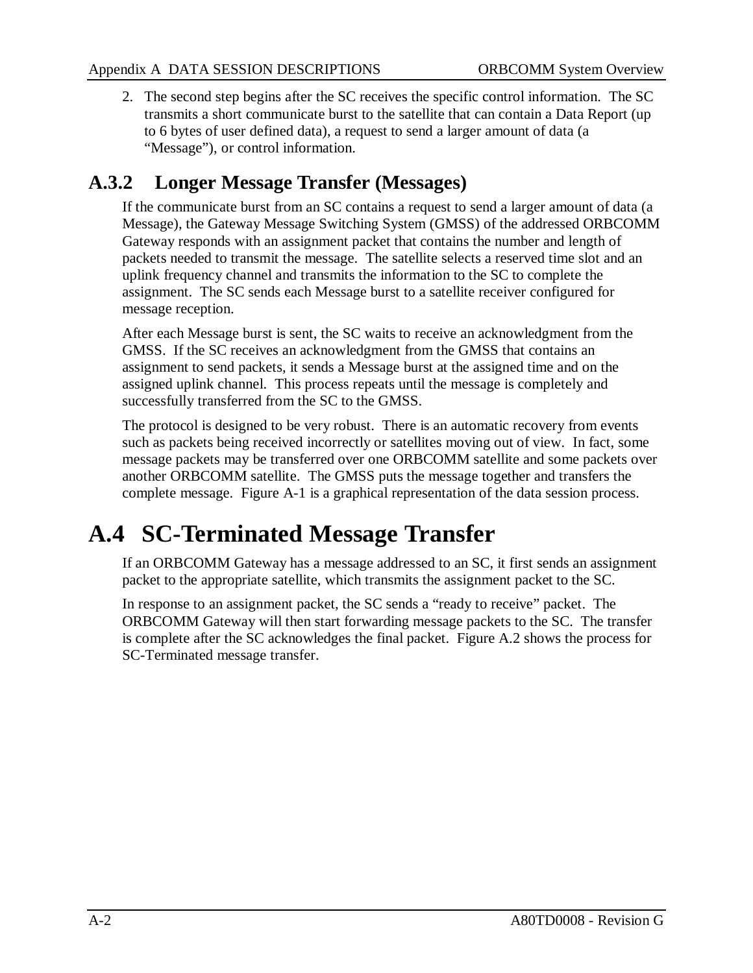2. The second step begins after the SC receives the specific control information. The SC transmits a short communicate burst to the satellite that can contain a Data Report (up to 6 bytes of user defined data), a request to send a larger amount of data (a "Message"), or control information.

#### **A.3.2 Longer Message Transfer (Messages)**

If the communicate burst from an SC contains a request to send a larger amount of data (a Message), the Gateway Message Switching System (GMSS) of the addressed ORBCOMM Gateway responds with an assignment packet that contains the number and length of packets needed to transmit the message. The satellite selects a reserved time slot and an uplink frequency channel and transmits the information to the SC to complete the assignment. The SC sends each Message burst to a satellite receiver configured for message reception.

After each Message burst is sent, the SC waits to receive an acknowledgment from the GMSS. If the SC receives an acknowledgment from the GMSS that contains an assignment to send packets, it sends a Message burst at the assigned time and on the assigned uplink channel. This process repeats until the message is completely and successfully transferred from the SC to the GMSS.

The protocol is designed to be very robust. There is an automatic recovery from events such as packets being received incorrectly or satellites moving out of view. In fact, some message packets may be transferred over one ORBCOMM satellite and some packets over another ORBCOMM satellite. The GMSS puts the message together and transfers the complete message. Figure A-1 is a graphical representation of the data session process.

### **A.4 SC-Terminated Message Transfer**

If an ORBCOMM Gateway has a message addressed to an SC, it first sends an assignment packet to the appropriate satellite, which transmits the assignment packet to the SC.

In response to an assignment packet, the SC sends a "ready to receive" packet. The ORBCOMM Gateway will then start forwarding message packets to the SC. The transfer is complete after the SC acknowledges the final packet. Figure A.2 shows the process for SC-Terminated message transfer.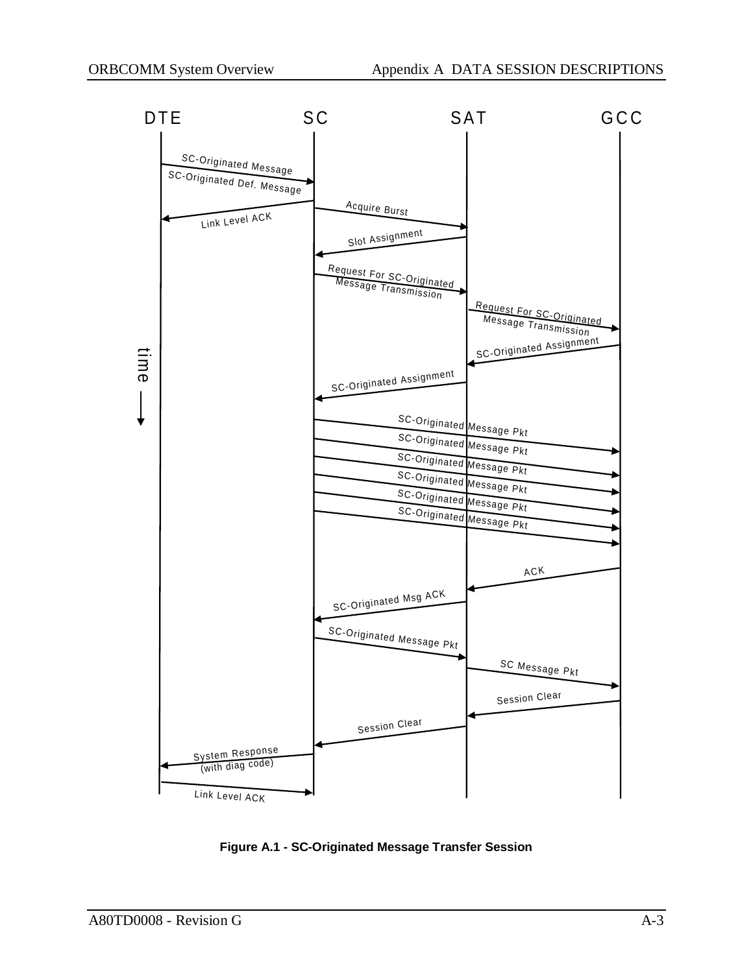

**Figure A.1 - SC-Originated Message Transfer Session**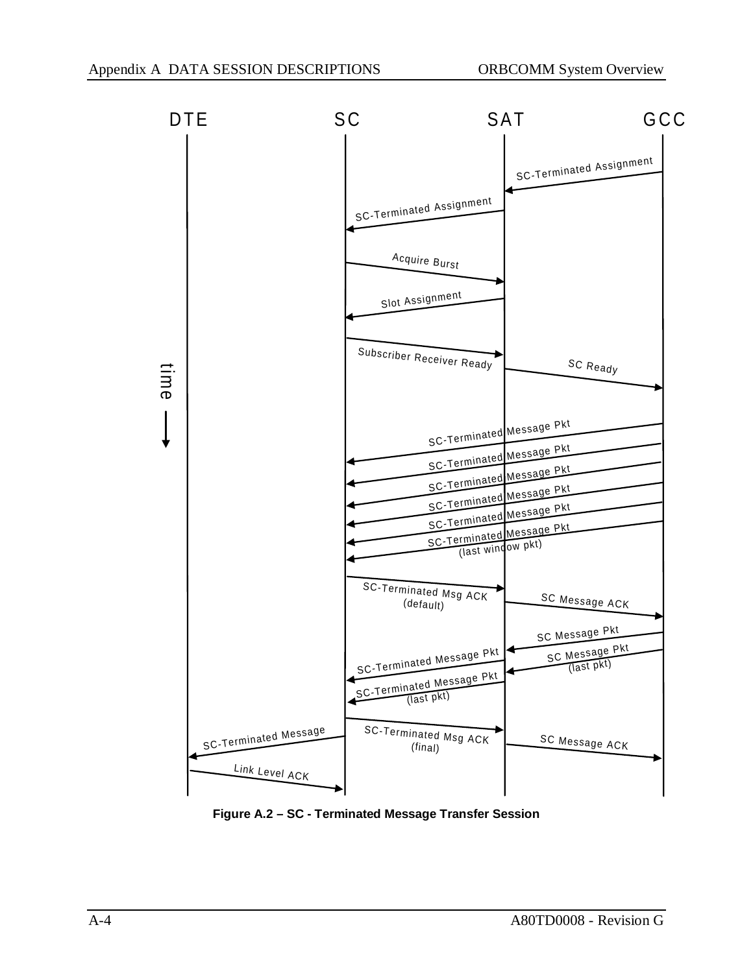

**Figure A.2 – SC - Terminated Message Transfer Session**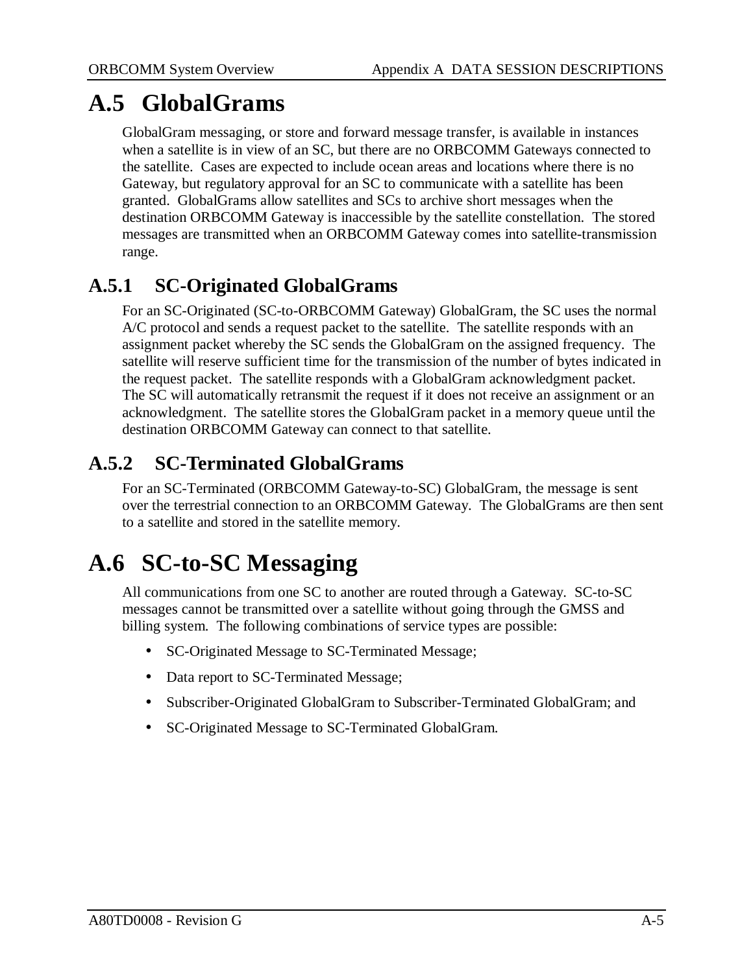### **A.5 GlobalGrams**

GlobalGram messaging, or store and forward message transfer, is available in instances when a satellite is in view of an SC, but there are no ORBCOMM Gateways connected to the satellite. Cases are expected to include ocean areas and locations where there is no Gateway, but regulatory approval for an SC to communicate with a satellite has been granted. GlobalGrams allow satellites and SCs to archive short messages when the destination ORBCOMM Gateway is inaccessible by the satellite constellation. The stored messages are transmitted when an ORBCOMM Gateway comes into satellite-transmission range.

#### **A.5.1 SC-Originated GlobalGrams**

For an SC-Originated (SC-to-ORBCOMM Gateway) GlobalGram, the SC uses the normal A/C protocol and sends a request packet to the satellite. The satellite responds with an assignment packet whereby the SC sends the GlobalGram on the assigned frequency. The satellite will reserve sufficient time for the transmission of the number of bytes indicated in the request packet. The satellite responds with a GlobalGram acknowledgment packet. The SC will automatically retransmit the request if it does not receive an assignment or an acknowledgment. The satellite stores the GlobalGram packet in a memory queue until the destination ORBCOMM Gateway can connect to that satellite.

#### **A.5.2 SC-Terminated GlobalGrams**

For an SC-Terminated (ORBCOMM Gateway-to-SC) GlobalGram, the message is sent over the terrestrial connection to an ORBCOMM Gateway. The GlobalGrams are then sent to a satellite and stored in the satellite memory.

## **A.6 SC-to-SC Messaging**

All communications from one SC to another are routed through a Gateway. SC-to-SC messages cannot be transmitted over a satellite without going through the GMSS and billing system. The following combinations of service types are possible:

- SC-Originated Message to SC-Terminated Message;
- Data report to SC-Terminated Message;
- Subscriber-Originated GlobalGram to Subscriber-Terminated GlobalGram; and
- SC-Originated Message to SC-Terminated GlobalGram.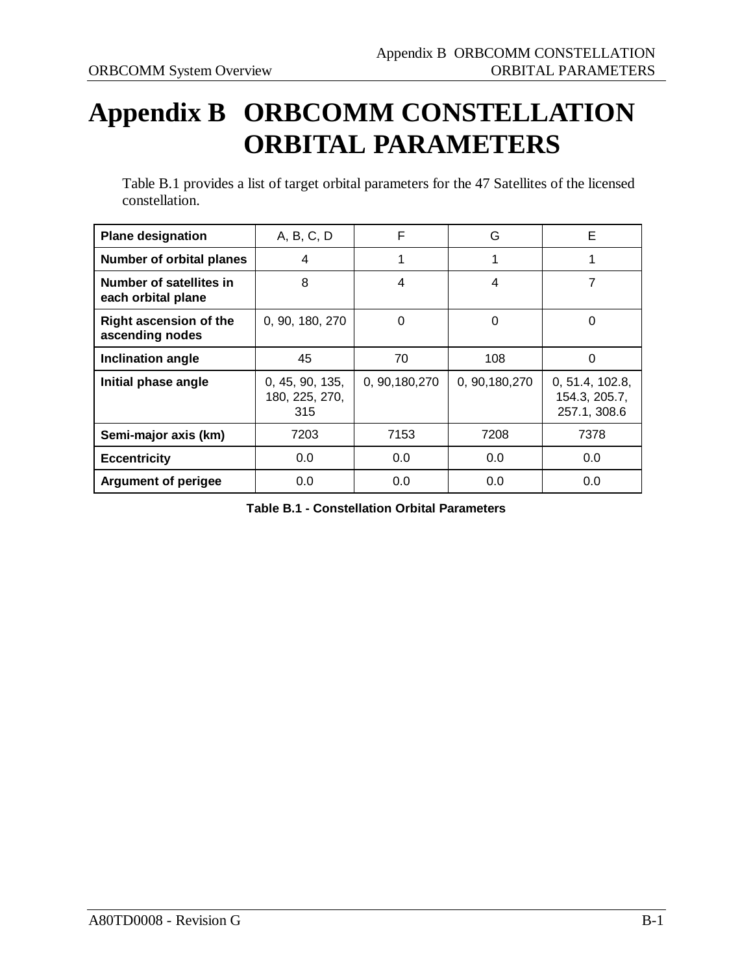# **Appendix B ORBCOMM CONSTELLATION ORBITAL PARAMETERS**

Table B.1 provides a list of target orbital parameters for the 47 Satellites of the licensed constellation.

| <b>Plane designation</b>                         | A, B, C, D                               | F               | G               | F                                                |
|--------------------------------------------------|------------------------------------------|-----------------|-----------------|--------------------------------------------------|
| Number of orbital planes                         | 4                                        | 1               | 1               |                                                  |
| Number of satellites in<br>each orbital plane    | 8                                        | 4               | 4               | 7                                                |
| <b>Right ascension of the</b><br>ascending nodes | 0, 90, 180, 270                          | 0               | $\Omega$        | 0                                                |
| Inclination angle                                | 45                                       | 70              | 108             | 0                                                |
| Initial phase angle                              | 0, 45, 90, 135,<br>180, 225, 270,<br>315 | 0, 90, 180, 270 | 0, 90, 180, 270 | 0, 51.4, 102.8,<br>154.3, 205.7,<br>257.1, 308.6 |
| Semi-major axis (km)                             | 7203                                     | 7153            | 7208            | 7378                                             |
| <b>Eccentricity</b>                              | 0.0                                      | 0.0             | 0.0             | 0.0                                              |
| <b>Argument of perigee</b>                       | 0.0                                      | 0.0             | 0.0             | 0.0                                              |

**Table B.1 - Constellation Orbital Parameters**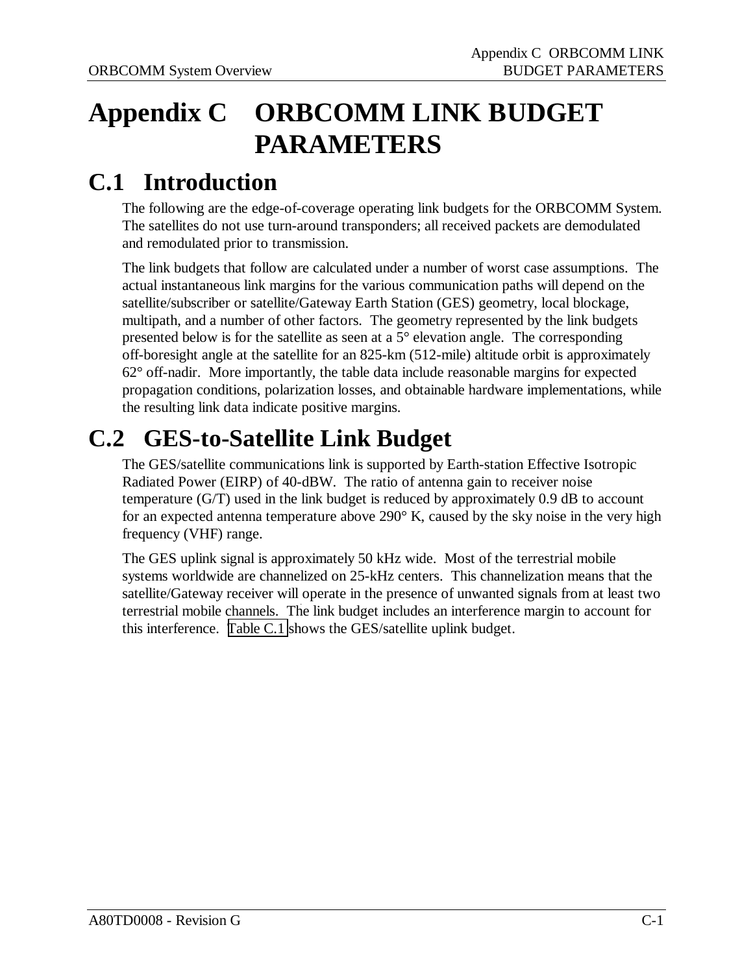# **Appendix C ORBCOMM LINK BUDGET PARAMETERS**

### **C.1 Introduction**

The following are the edge-of-coverage operating link budgets for the ORBCOMM System. The satellites do not use turn-around transponders; all received packets are demodulated and remodulated prior to transmission.

The link budgets that follow are calculated under a number of worst case assumptions. The actual instantaneous link margins for the various communication paths will depend on the satellite/subscriber or satellite/Gateway Earth Station (GES) geometry, local blockage, multipath, and a number of other factors. The geometry represented by the link budgets presented below is for the satellite as seen at a 5° elevation angle. The corresponding off-boresight angle at the satellite for an 825-km (512-mile) altitude orbit is approximately 62° off-nadir. More importantly, the table data include reasonable margins for expected propagation conditions, polarization losses, and obtainable hardware implementations, while the resulting link data indicate positive margins.

## **C.2 GES-to-Satellite Link Budget**

The GES/satellite communications link is supported by Earth-station Effective Isotropic Radiated Power (EIRP) of 40-dBW. The ratio of antenna gain to receiver noise temperature (G/T) used in the link budget is reduced by approximately 0.9 dB to account for an expected antenna temperature above 290° K, caused by the sky noise in the very high frequency (VHF) range.

The GES uplink signal is approximately 50 kHz wide. Most of the terrestrial mobile systems worldwide are channelized on 25-kHz centers. This channelization means that the satellite/Gateway receiver will operate in the presence of unwanted signals from at least two terrestrial mobile channels. The link budget includes an interference margin to account for this interference. [Table C.1](#page-38-0) shows the GES/satellite uplink budget.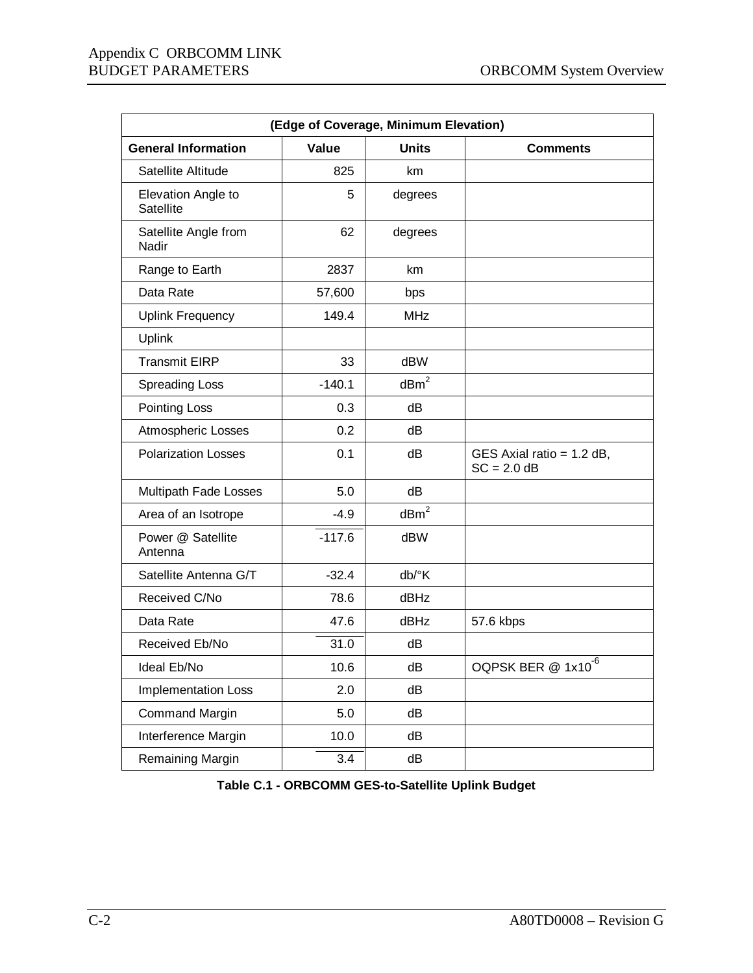<span id="page-38-0"></span>

| (Edge of Coverage, Minimum Elevation) |          |                  |                                              |  |
|---------------------------------------|----------|------------------|----------------------------------------------|--|
| <b>General Information</b>            | Value    | <b>Units</b>     | <b>Comments</b>                              |  |
| Satellite Altitude                    | 825      | km               |                                              |  |
| Elevation Angle to<br>Satellite       | 5        | degrees          |                                              |  |
| Satellite Angle from<br>Nadir         | 62       | degrees          |                                              |  |
| Range to Earth                        | 2837     | km               |                                              |  |
| Data Rate                             | 57,600   | bps              |                                              |  |
| <b>Uplink Frequency</b>               | 149.4    | <b>MHz</b>       |                                              |  |
| <b>Uplink</b>                         |          |                  |                                              |  |
| <b>Transmit EIRP</b>                  | 33       | dBW              |                                              |  |
| <b>Spreading Loss</b>                 | $-140.1$ | dBm <sup>2</sup> |                                              |  |
| Pointing Loss                         | 0.3      | dB               |                                              |  |
| Atmospheric Losses                    | 0.2      | dB               |                                              |  |
| <b>Polarization Losses</b>            | 0.1      | dB               | GES Axial ratio = $1.2$ dB,<br>$SC = 2.0 dB$ |  |
| Multipath Fade Losses                 | 5.0      | dB               |                                              |  |
| Area of an Isotrope                   | $-4.9$   | dBm <sup>2</sup> |                                              |  |
| Power @ Satellite<br>Antenna          | $-117.6$ | dBW              |                                              |  |
| Satellite Antenna G/T                 | $-32.4$  | db/°K            |                                              |  |
| Received C/No                         | 78.6     | dBHz             |                                              |  |
| Data Rate                             | 47.6     | dBHz             | 57.6 kbps                                    |  |
| Received Eb/No                        | 31.0     | dB               |                                              |  |
| Ideal Eb/No                           | 10.6     | dB               | OQPSK BER @ 1x10 <sup>-6</sup>               |  |
| <b>Implementation Loss</b>            | 2.0      | dB               |                                              |  |
| <b>Command Margin</b>                 | 5.0      | dB               |                                              |  |
| Interference Margin                   | 10.0     | dB               |                                              |  |
| Remaining Margin                      | 3.4      | dB               |                                              |  |

**Table C.1 - ORBCOMM GES-to-Satellite Uplink Budget**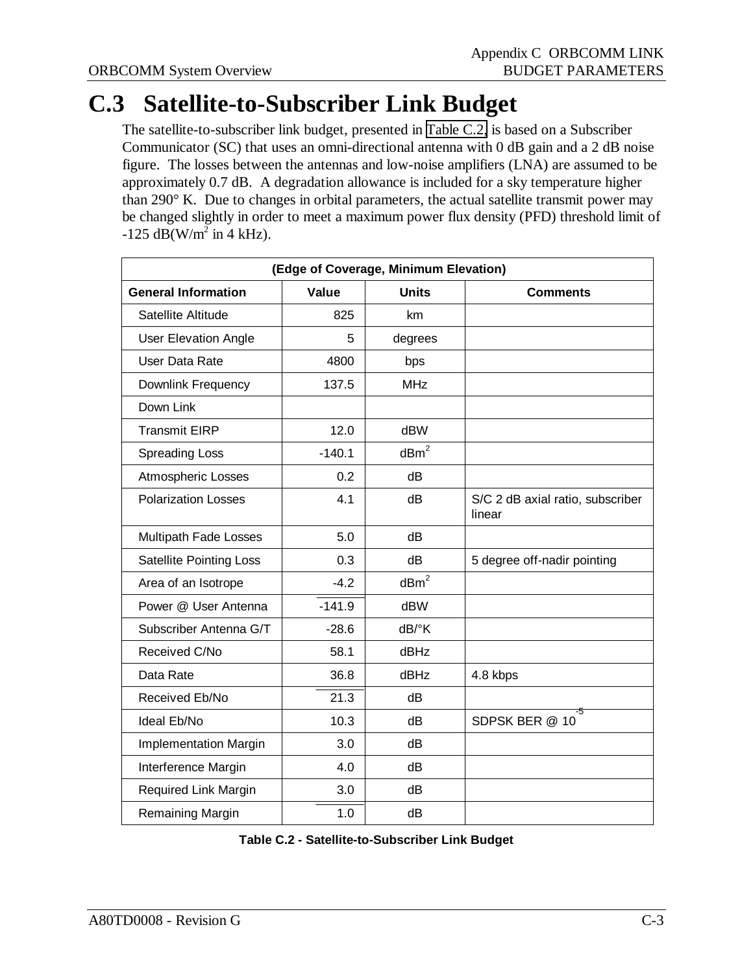### **C.3 Satellite-to-Subscriber Link Budget**

The satellite-to-subscriber link budget, presented in Table C.2, is based on a Subscriber Communicator (SC) that uses an omni-directional antenna with 0 dB gain and a 2 dB noise figure. The losses between the antennas and low-noise amplifiers (LNA) are assumed to be approximately 0.7 dB. A degradation allowance is included for a sky temperature higher than 290° K. Due to changes in orbital parameters, the actual satellite transmit power may be changed slightly in order to meet a maximum power flux density (PFD) threshold limit of  $-125 \text{ dB(W/m}^2 \text{ in } 4 \text{ kHz}).$ 

| (Edge of Coverage, Minimum Elevation) |          |                     |                                            |  |
|---------------------------------------|----------|---------------------|--------------------------------------------|--|
| <b>General Information</b>            | Value    | <b>Units</b>        | <b>Comments</b>                            |  |
| Satellite Altitude                    | 825      | km                  |                                            |  |
| <b>User Elevation Angle</b>           | 5        | degrees             |                                            |  |
| User Data Rate                        | 4800     | bps                 |                                            |  |
| Downlink Frequency                    | 137.5    | <b>MHz</b>          |                                            |  |
| Down Link                             |          |                     |                                            |  |
| <b>Transmit EIRP</b>                  | 12.0     | dBW                 |                                            |  |
| <b>Spreading Loss</b>                 | $-140.1$ | dBm <sup>2</sup>    |                                            |  |
| <b>Atmospheric Losses</b>             | 0.2      | dB                  |                                            |  |
| <b>Polarization Losses</b>            | 4.1      | dB                  | S/C 2 dB axial ratio, subscriber<br>linear |  |
| Multipath Fade Losses                 | 5.0      | dB                  |                                            |  |
| <b>Satellite Pointing Loss</b>        | 0.3      | dB                  | 5 degree off-nadir pointing                |  |
| Area of an Isotrope                   | $-4.2$   | dBm <sup>2</sup>    |                                            |  |
| Power @ User Antenna                  | $-141.9$ | dBW                 |                                            |  |
| Subscriber Antenna G/T                | $-28.6$  | $dB$ <sup>o</sup> K |                                            |  |
| Received C/No                         | 58.1     | dBHz                |                                            |  |
| Data Rate                             | 36.8     | dBHz                | 4.8 kbps                                   |  |
| Received Eb/No                        | 21.3     | dB                  |                                            |  |
| Ideal Eb/No                           | 10.3     | dB                  | SDPSK BER @ 10                             |  |
| <b>Implementation Margin</b>          | 3.0      | dB                  |                                            |  |
| Interference Margin                   | 4.0      | dB                  |                                            |  |
| Required Link Margin                  | 3.0      | dB                  |                                            |  |
| Remaining Margin                      | 1.0      | dB                  |                                            |  |

| Table C.2 - Satellite-to-Subscriber Link Budget |  |
|-------------------------------------------------|--|
|-------------------------------------------------|--|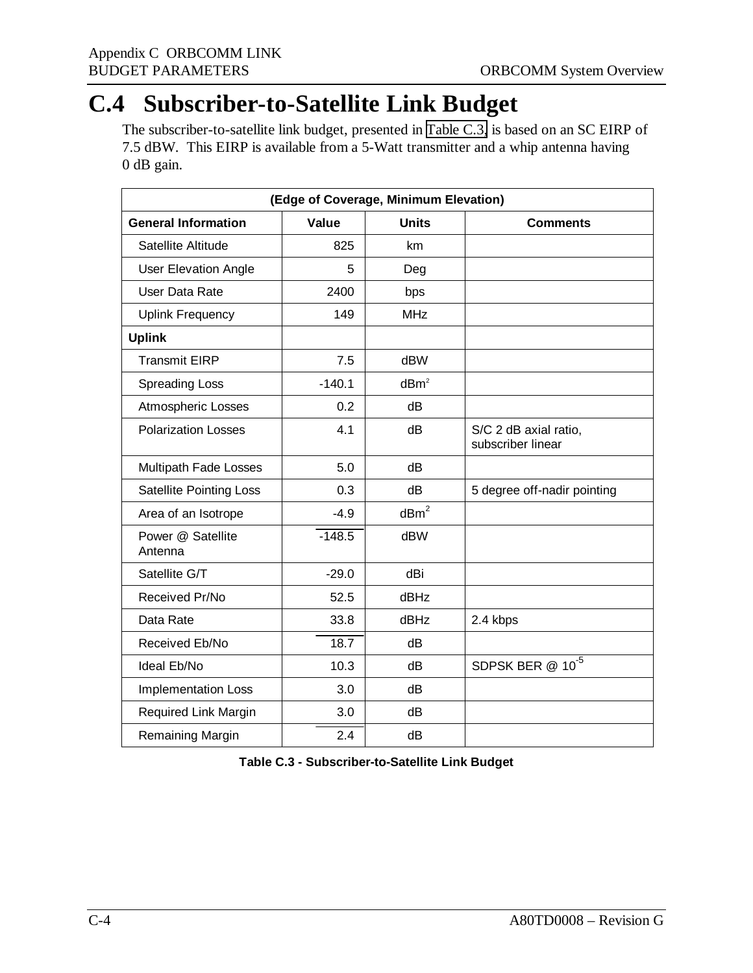### **C.4 Subscriber-to-Satellite Link Budget**

The subscriber-to-satellite link budget, presented in Table C.3, is based on an SC EIRP of 7.5 dBW. This EIRP is available from a 5-Watt transmitter and a whip antenna having 0 dB gain.

| (Edge of Coverage, Minimum Elevation) |          |                  |                                            |
|---------------------------------------|----------|------------------|--------------------------------------------|
| <b>General Information</b>            | Value    | <b>Units</b>     | <b>Comments</b>                            |
| Satellite Altitude                    | 825      | km               |                                            |
| <b>User Elevation Angle</b>           | 5        | Deg              |                                            |
| User Data Rate                        | 2400     | bps              |                                            |
| <b>Uplink Frequency</b>               | 149      | <b>MHz</b>       |                                            |
| <b>Uplink</b>                         |          |                  |                                            |
| <b>Transmit EIRP</b>                  | 7.5      | <b>dBW</b>       |                                            |
| <b>Spreading Loss</b>                 | $-140.1$ | dBm <sup>2</sup> |                                            |
| Atmospheric Losses                    | 0.2      | dB               |                                            |
| <b>Polarization Losses</b>            | 4.1      | dB               | S/C 2 dB axial ratio,<br>subscriber linear |
| Multipath Fade Losses                 | 5.0      | dB               |                                            |
| <b>Satellite Pointing Loss</b>        | 0.3      | dB               | 5 degree off-nadir pointing                |
| Area of an Isotrope                   | $-4.9$   | dBm <sup>2</sup> |                                            |
| Power @ Satellite<br>Antenna          | $-148.5$ | dBW              |                                            |
| Satellite G/T                         | $-29.0$  | dBi              |                                            |
| Received Pr/No                        | 52.5     | <b>dBHz</b>      |                                            |
| Data Rate                             | 33.8     | <b>dBHz</b>      | 2.4 kbps                                   |
| Received Eb/No                        | 18.7     | dB               |                                            |
| Ideal Eb/No                           | 10.3     | dB               | SDPSK BER @ 10 <sup>-5</sup>               |
| <b>Implementation Loss</b>            | 3.0      | dB               |                                            |
| Required Link Margin                  | 3.0      | dB               |                                            |
| Remaining Margin                      | 2.4      | dB               |                                            |

**Table C.3 - Subscriber-to-Satellite Link Budget**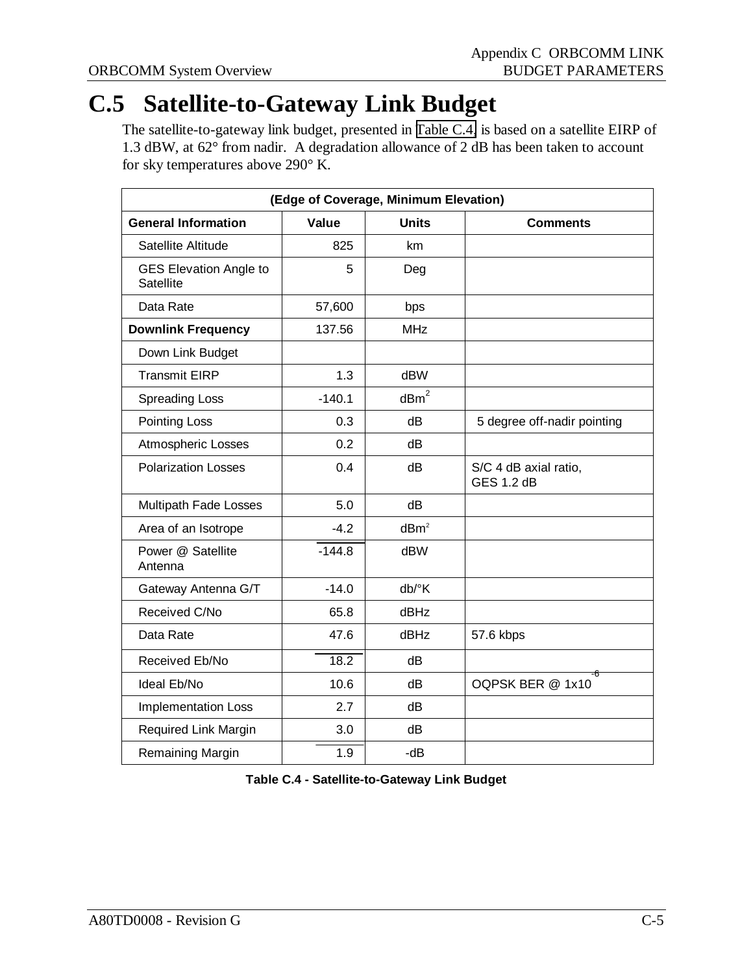### **C.5 Satellite-to-Gateway Link Budget**

The satellite-to-gateway link budget, presented in Table C.4, is based on a satellite EIRP of 1.3 dBW, at 62° from nadir. A degradation allowance of 2 dB has been taken to account for sky temperatures above 290° K.

| (Edge of Coverage, Minimum Elevation)      |          |                  |                                            |
|--------------------------------------------|----------|------------------|--------------------------------------------|
| <b>General Information</b>                 | Value    | <b>Units</b>     | <b>Comments</b>                            |
| Satellite Altitude                         | 825      | km               |                                            |
| <b>GES Elevation Angle to</b><br>Satellite | 5        | Deg              |                                            |
| Data Rate                                  | 57,600   | bps              |                                            |
| <b>Downlink Frequency</b>                  | 137.56   | <b>MHz</b>       |                                            |
| Down Link Budget                           |          |                  |                                            |
| <b>Transmit EIRP</b>                       | 1.3      | dBW              |                                            |
| <b>Spreading Loss</b>                      | $-140.1$ | $\text{dBm}^2$   |                                            |
| Pointing Loss                              | 0.3      | dB               | 5 degree off-nadir pointing                |
| Atmospheric Losses                         | 0.2      | dB               |                                            |
| <b>Polarization Losses</b>                 | 0.4      | dB               | S/C 4 dB axial ratio,<br><b>GES 1.2 dB</b> |
| Multipath Fade Losses                      | 5.0      | dB               |                                            |
| Area of an Isotrope                        | $-4.2$   | dBm <sup>2</sup> |                                            |
| Power @ Satellite<br>Antenna               | $-144.8$ | dBW              |                                            |
| Gateway Antenna G/T                        | $-14.0$  | db/°K            |                                            |
| Received C/No                              | 65.8     | dBHz             |                                            |
| Data Rate                                  | 47.6     | dBHz             | 57.6 kbps                                  |
| Received Eb/No                             | 18.2     | dB               |                                            |
| Ideal Eb/No                                | 10.6     | dB               | -6<br>OQPSK BER @ 1x10                     |
| Implementation Loss                        | 2.7      | dB               |                                            |
| Required Link Margin                       | 3.0      | dB               |                                            |
| Remaining Margin                           | 1.9      | $-dB$            |                                            |

**Table C.4 - Satellite-to-Gateway Link Budget**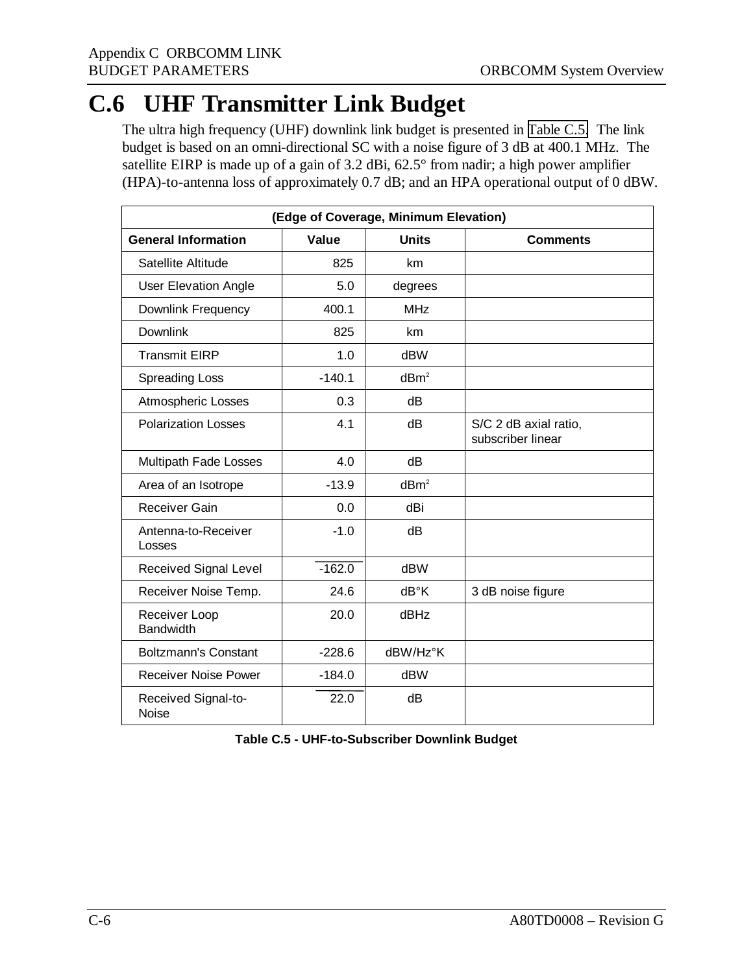### **C.6 UHF Transmitter Link Budget**

The ultra high frequency (UHF) downlink link budget is presented in Table C.5. The link budget is based on an omni-directional SC with a noise figure of 3 dB at 400.1 MHz. The satellite EIRP is made up of a gain of 3.2 dBi, 62.5° from nadir; a high power amplifier (HPA)-to-antenna loss of approximately 0.7 dB; and an HPA operational output of 0 dBW.

| (Edge of Coverage, Minimum Elevation) |              |                  |                                            |
|---------------------------------------|--------------|------------------|--------------------------------------------|
| <b>General Information</b>            | <b>Value</b> | <b>Units</b>     | <b>Comments</b>                            |
| Satellite Altitude                    | 825          | km               |                                            |
| <b>User Elevation Angle</b>           | 5.0          | degrees          |                                            |
| Downlink Frequency                    | 400.1        | MHz              |                                            |
| <b>Downlink</b>                       | 825          | km               |                                            |
| <b>Transmit EIRP</b>                  | 1.0          | <b>dBW</b>       |                                            |
| <b>Spreading Loss</b>                 | $-140.1$     | dBm <sup>2</sup> |                                            |
| Atmospheric Losses                    | 0.3          | dB               |                                            |
| <b>Polarization Losses</b>            | 4.1          | dB               | S/C 2 dB axial ratio,<br>subscriber linear |
| Multipath Fade Losses                 | 4.0          | dB               |                                            |
| Area of an Isotrope                   | $-13.9$      | dBm <sup>2</sup> |                                            |
| Receiver Gain                         | 0.0          | dBi              |                                            |
| Antenna-to-Receiver<br>Losses         | $-1.0$       | dB               |                                            |
| Received Signal Level                 | $-162.0$     | <b>dBW</b>       |                                            |
| Receiver Noise Temp.                  | 24.6         | dB°K             | 3 dB noise figure                          |
| Receiver Loop<br><b>Bandwidth</b>     | 20.0         | dBHz             |                                            |
| <b>Boltzmann's Constant</b>           | $-228.6$     | dBW/Hz°K         |                                            |
| <b>Receiver Noise Power</b>           | $-184.0$     | dBW              |                                            |
| Received Signal-to-<br><b>Noise</b>   | 22.0         | dB               |                                            |

| Table C.5 - UHF-to-Subscriber Downlink Budget |
|-----------------------------------------------|
|                                               |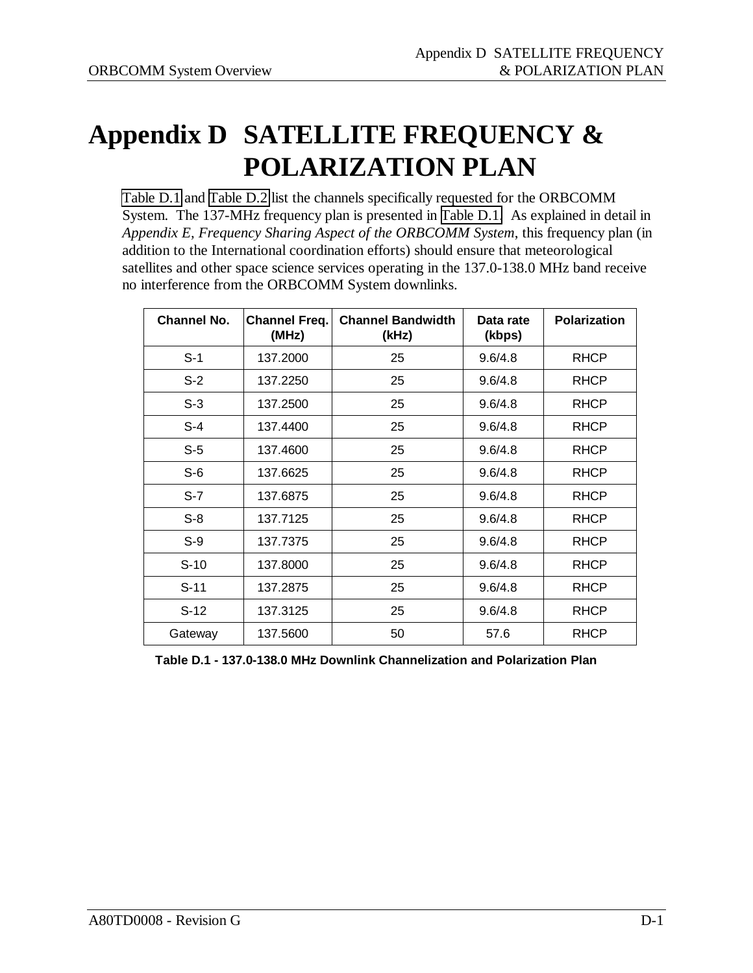# **Appendix D SATELLITE FREQUENCY & POLARIZATION PLAN**

Table D.1 and [Table D.2](#page-44-0) list the channels specifically requested for the ORBCOMM System. The 137-MHz frequency plan is presented in Table D.1. As explained in detail in *Appendix E, Frequency Sharing Aspect of the ORBCOMM System*, this frequency plan (in addition to the International coordination efforts) should ensure that meteorological satellites and other space science services operating in the 137.0-138.0 MHz band receive no interference from the ORBCOMM System downlinks.

| <b>Channel No.</b> | <b>Channel Freq.</b><br>(MHz) | <b>Channel Bandwidth</b><br>(kHz) | Data rate<br>(kbps) | <b>Polarization</b> |
|--------------------|-------------------------------|-----------------------------------|---------------------|---------------------|
| $S-1$              | 137.2000                      | 25                                | 9.6/4.8             | <b>RHCP</b>         |
| $S-2$              | 137.2250                      | 25                                | 9.6/4.8             | <b>RHCP</b>         |
| $S-3$              | 137.2500                      | 25                                | 9.6/4.8             | <b>RHCP</b>         |
| $S-4$              | 137.4400                      | 25                                | 9.6/4.8             | <b>RHCP</b>         |
| $S-5$              | 137.4600                      | 25                                | 9.6/4.8             | <b>RHCP</b>         |
| $S-6$              | 137.6625                      | 25                                | 9.6/4.8             | <b>RHCP</b>         |
| $S-7$              | 137.6875                      | 25                                | 9.6/4.8             | <b>RHCP</b>         |
| $S-8$              | 137.7125                      | 25                                | 9.6/4.8             | <b>RHCP</b>         |
| $S-9$              | 137.7375                      | 25                                | 9.6/4.8             | <b>RHCP</b>         |
| $S-10$             | 137.8000                      | 25                                | 9.6/4.8             | <b>RHCP</b>         |
| $S-11$             | 137.2875                      | 25                                | 9.6/4.8             | <b>RHCP</b>         |
| $S-12$             | 137.3125                      | 25                                | 9.6/4.8             | <b>RHCP</b>         |
| Gateway            | 137.5600                      | 50                                | 57.6                | <b>RHCP</b>         |

**Table D.1 - 137.0-138.0 MHz Downlink Channelization and Polarization Plan**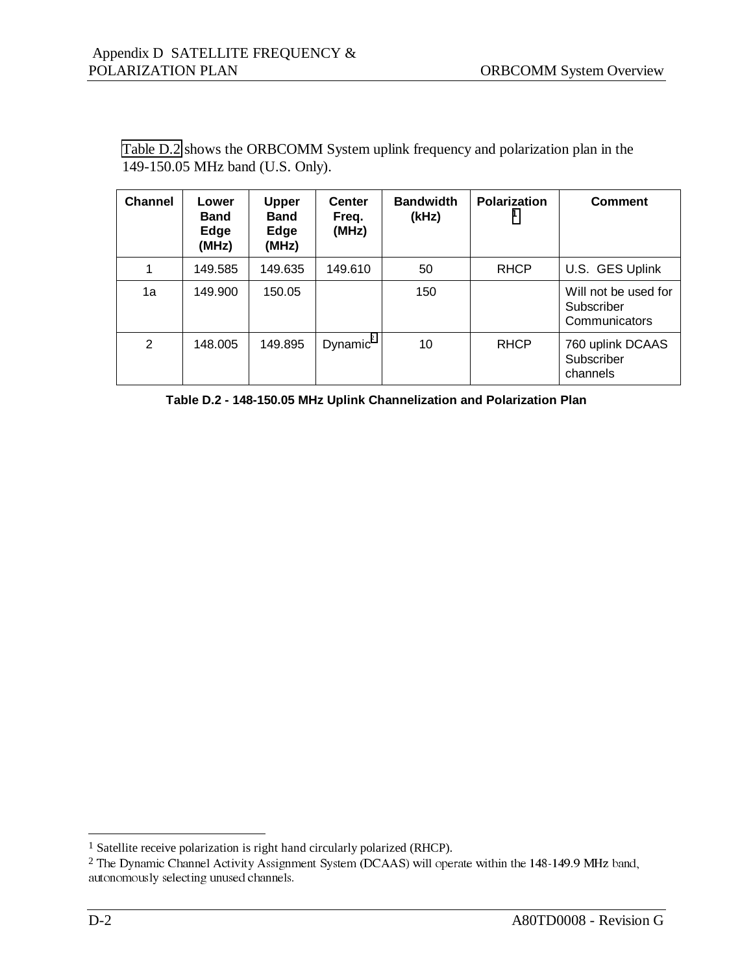| <b>Channel</b> | Lower<br><b>Band</b><br>Edge<br>(MHz) | <b>Upper</b><br><b>Band</b><br>Edge<br>(MHz) | <b>Center</b><br>Freq.<br>(MHz) | <b>Bandwidth</b><br>(kHz) | <b>Polarization</b> | <b>Comment</b>                                      |
|----------------|---------------------------------------|----------------------------------------------|---------------------------------|---------------------------|---------------------|-----------------------------------------------------|
| 1              | 149.585                               | 149.635                                      | 149.610                         | 50                        | <b>RHCP</b>         | U.S. GES Uplink                                     |
| 1a             | 149.900                               | 150.05                                       |                                 | 150                       |                     | Will not be used for<br>Subscriber<br>Communicators |
| 2              | 148.005                               | 149.895                                      | Dynamic <sup>2</sup>            | 10                        | <b>RHCP</b>         | 760 uplink DCAAS<br>Subscriber<br>channels          |

<span id="page-44-0"></span>Table D.2 shows the ORBCOMM System uplink frequency and polarization plan in the 149-150.05 MHz band (U.S. Only).

**Table D.2 - 148-150.05 MHz Uplink Channelization and Polarization Plan**

 $\overline{a}$ 

<sup>&</sup>lt;sup>1</sup> Satellite receive polarization is right hand circularly polarized (RHCP).

 $2$  The Dynamic Channel Activity Assignment System (DCAAS) will operate within the 148-149.9 MHz band, autonomously selecting unused channels.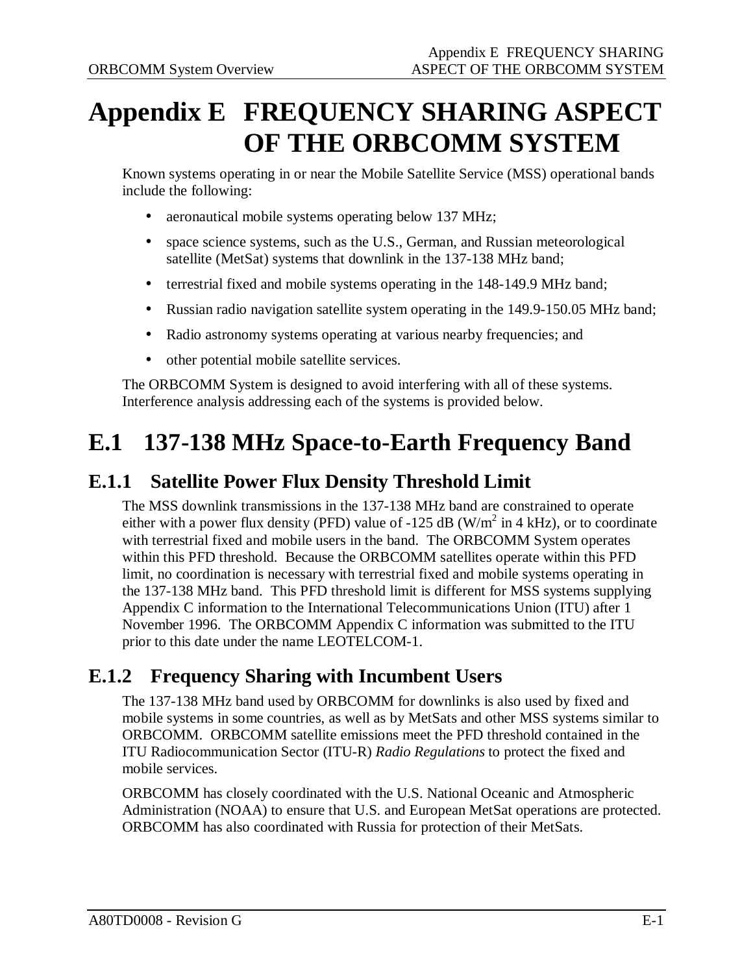# **Appendix E FREQUENCY SHARING ASPECT OF THE ORBCOMM SYSTEM**

Known systems operating in or near the Mobile Satellite Service (MSS) operational bands include the following:

- aeronautical mobile systems operating below 137 MHz;
- space science systems, such as the U.S., German, and Russian meteorological satellite (MetSat) systems that downlink in the 137-138 MHz band;
- terrestrial fixed and mobile systems operating in the 148-149.9 MHz band;
- Russian radio navigation satellite system operating in the 149.9-150.05 MHz band;
- Radio astronomy systems operating at various nearby frequencies; and
- other potential mobile satellite services.

The ORBCOMM System is designed to avoid interfering with all of these systems. Interference analysis addressing each of the systems is provided below.

### **E.1 137-138 MHz Space-to-Earth Frequency Band**

#### **E.1.1 Satellite Power Flux Density Threshold Limit**

The MSS downlink transmissions in the 137-138 MHz band are constrained to operate either with a power flux density (PFD) value of -125 dB (W/m<sup>2</sup> in 4 kHz), or to coordinate with terrestrial fixed and mobile users in the band. The ORBCOMM System operates within this PFD threshold. Because the ORBCOMM satellites operate within this PFD limit, no coordination is necessary with terrestrial fixed and mobile systems operating in the 137-138 MHz band. This PFD threshold limit is different for MSS systems supplying Appendix C information to the International Telecommunications Union (ITU) after 1 November 1996. The ORBCOMM Appendix C information was submitted to the ITU prior to this date under the name LEOTELCOM-1.

#### **E.1.2 Frequency Sharing with Incumbent Users**

The 137-138 MHz band used by ORBCOMM for downlinks is also used by fixed and mobile systems in some countries, as well as by MetSats and other MSS systems similar to ORBCOMM. ORBCOMM satellite emissions meet the PFD threshold contained in the ITU Radiocommunication Sector (ITU-R) *Radio Regulations* to protect the fixed and mobile services.

ORBCOMM has closely coordinated with the U.S. National Oceanic and Atmospheric Administration (NOAA) to ensure that U.S. and European MetSat operations are protected. ORBCOMM has also coordinated with Russia for protection of their MetSats.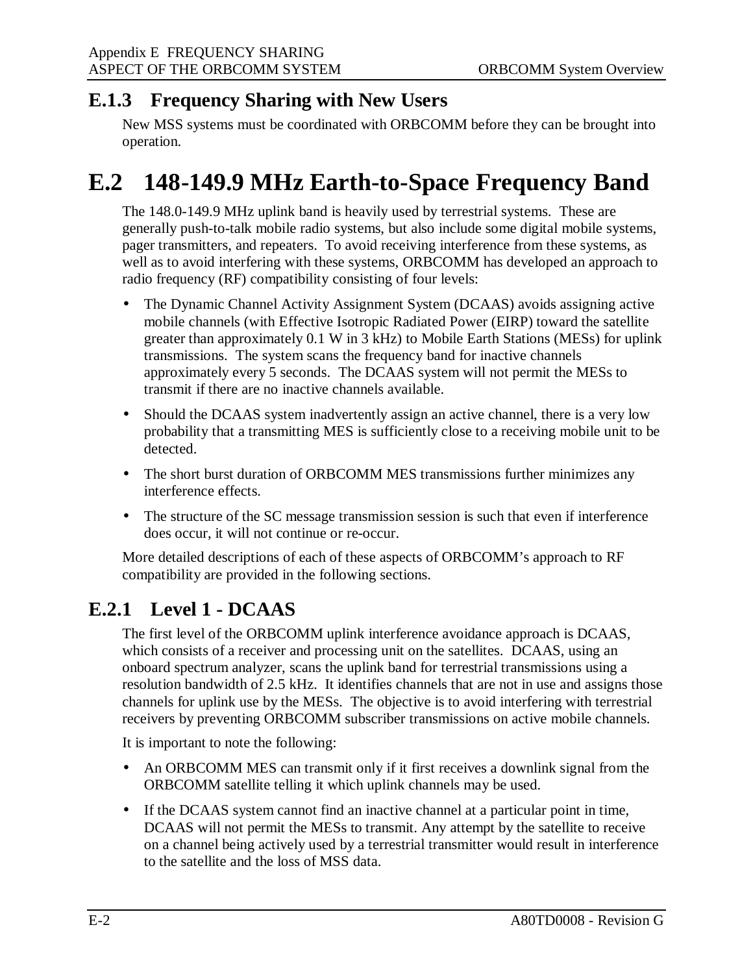#### **E.1.3 Frequency Sharing with New Users**

New MSS systems must be coordinated with ORBCOMM before they can be brought into operation.

### **E.2 148-149.9 MHz Earth-to-Space Frequency Band**

The 148.0-149.9 MHz uplink band is heavily used by terrestrial systems. These are generally push-to-talk mobile radio systems, but also include some digital mobile systems, pager transmitters, and repeaters. To avoid receiving interference from these systems, as well as to avoid interfering with these systems, ORBCOMM has developed an approach to radio frequency (RF) compatibility consisting of four levels:

- The Dynamic Channel Activity Assignment System (DCAAS) avoids assigning active mobile channels (with Effective Isotropic Radiated Power (EIRP) toward the satellite greater than approximately 0.1 W in 3 kHz) to Mobile Earth Stations (MESs) for uplink transmissions. The system scans the frequency band for inactive channels approximately every 5 seconds. The DCAAS system will not permit the MESs to transmit if there are no inactive channels available.
- Should the DCAAS system inadvertently assign an active channel, there is a very low probability that a transmitting MES is sufficiently close to a receiving mobile unit to be detected.
- The short burst duration of ORBCOMM MES transmissions further minimizes any interference effects.
- The structure of the SC message transmission session is such that even if interference does occur, it will not continue or re-occur.

More detailed descriptions of each of these aspects of ORBCOMM's approach to RF compatibility are provided in the following sections.

#### **E.2.1 Level 1 - DCAAS**

The first level of the ORBCOMM uplink interference avoidance approach is DCAAS, which consists of a receiver and processing unit on the satellites. DCAAS, using an onboard spectrum analyzer, scans the uplink band for terrestrial transmissions using a resolution bandwidth of 2.5 kHz. It identifies channels that are not in use and assigns those channels for uplink use by the MESs. The objective is to avoid interfering with terrestrial receivers by preventing ORBCOMM subscriber transmissions on active mobile channels.

It is important to note the following:

- An ORBCOMM MES can transmit only if it first receives a downlink signal from the ORBCOMM satellite telling it which uplink channels may be used.
- If the DCAAS system cannot find an inactive channel at a particular point in time, DCAAS will not permit the MESs to transmit. Any attempt by the satellite to receive on a channel being actively used by a terrestrial transmitter would result in interference to the satellite and the loss of MSS data.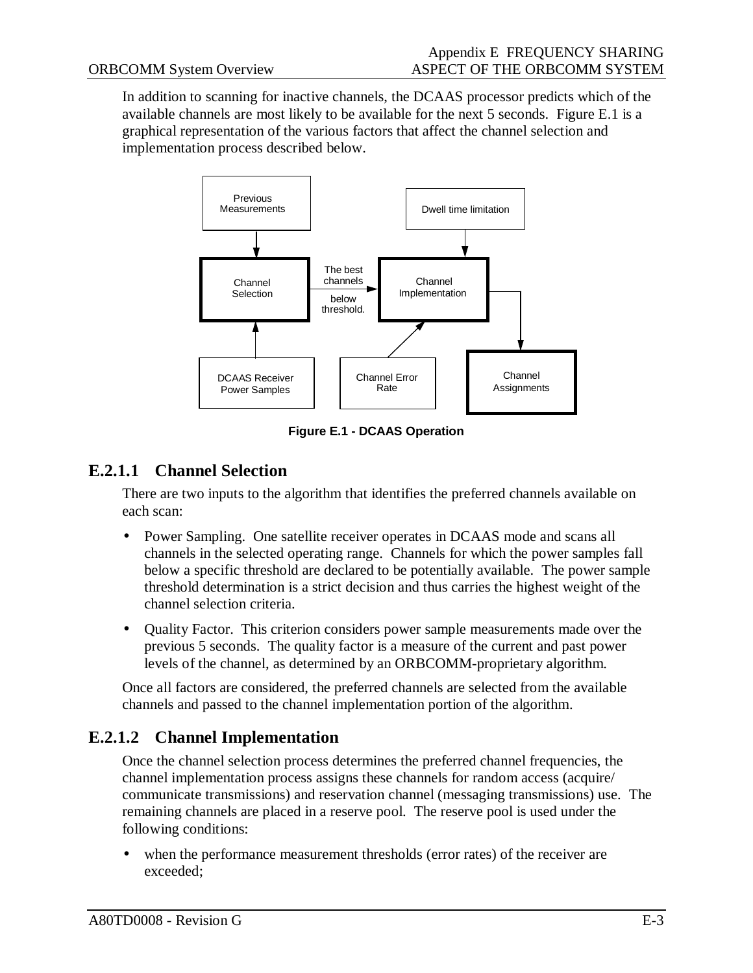In addition to scanning for inactive channels, the DCAAS processor predicts which of the available channels are most likely to be available for the next 5 seconds. Figure E.1 is a graphical representation of the various factors that affect the channel selection and implementation process described below.



**Figure E.1 - DCAAS Operation**

#### **E.2.1.1 Channel Selection**

There are two inputs to the algorithm that identifies the preferred channels available on each scan:

- Power Sampling. One satellite receiver operates in DCAAS mode and scans all channels in the selected operating range. Channels for which the power samples fall below a specific threshold are declared to be potentially available. The power sample threshold determination is a strict decision and thus carries the highest weight of the channel selection criteria.
- Quality Factor. This criterion considers power sample measurements made over the previous 5 seconds. The quality factor is a measure of the current and past power levels of the channel, as determined by an ORBCOMM-proprietary algorithm.

Once all factors are considered, the preferred channels are selected from the available channels and passed to the channel implementation portion of the algorithm.

#### **E.2.1.2 Channel Implementation**

Once the channel selection process determines the preferred channel frequencies, the channel implementation process assigns these channels for random access (acquire/ communicate transmissions) and reservation channel (messaging transmissions) use. The remaining channels are placed in a reserve pool. The reserve pool is used under the following conditions:

• when the performance measurement thresholds (error rates) of the receiver are exceeded;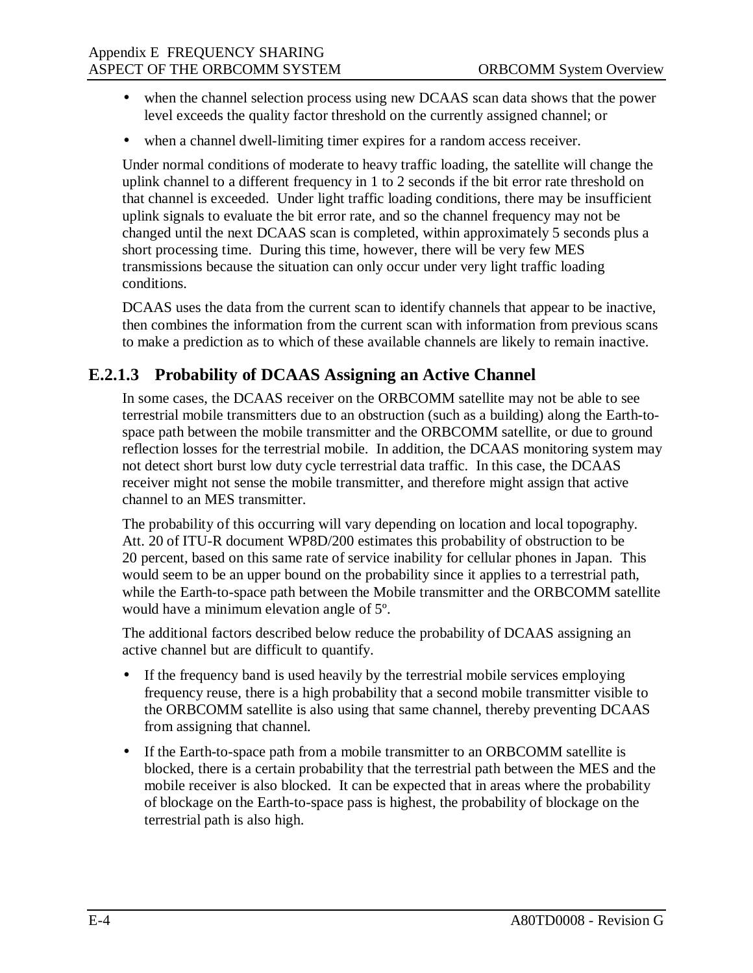- when the channel selection process using new DCAAS scan data shows that the power level exceeds the quality factor threshold on the currently assigned channel; or
- when a channel dwell-limiting timer expires for a random access receiver.

Under normal conditions of moderate to heavy traffic loading, the satellite will change the uplink channel to a different frequency in 1 to 2 seconds if the bit error rate threshold on that channel is exceeded. Under light traffic loading conditions, there may be insufficient uplink signals to evaluate the bit error rate, and so the channel frequency may not be changed until the next DCAAS scan is completed, within approximately 5 seconds plus a short processing time. During this time, however, there will be very few MES transmissions because the situation can only occur under very light traffic loading conditions.

DCAAS uses the data from the current scan to identify channels that appear to be inactive, then combines the information from the current scan with information from previous scans to make a prediction as to which of these available channels are likely to remain inactive.

#### **E.2.1.3 Probability of DCAAS Assigning an Active Channel**

In some cases, the DCAAS receiver on the ORBCOMM satellite may not be able to see terrestrial mobile transmitters due to an obstruction (such as a building) along the Earth-tospace path between the mobile transmitter and the ORBCOMM satellite, or due to ground reflection losses for the terrestrial mobile. In addition, the DCAAS monitoring system may not detect short burst low duty cycle terrestrial data traffic. In this case, the DCAAS receiver might not sense the mobile transmitter, and therefore might assign that active channel to an MES transmitter.

The probability of this occurring will vary depending on location and local topography. Att. 20 of ITU-R document WP8D/200 estimates this probability of obstruction to be 20 percent, based on this same rate of service inability for cellular phones in Japan. This would seem to be an upper bound on the probability since it applies to a terrestrial path, while the Earth-to-space path between the Mobile transmitter and the ORBCOMM satellite would have a minimum elevation angle of 5º.

The additional factors described below reduce the probability of DCAAS assigning an active channel but are difficult to quantify.

- If the frequency band is used heavily by the terrestrial mobile services employing frequency reuse, there is a high probability that a second mobile transmitter visible to the ORBCOMM satellite is also using that same channel, thereby preventing DCAAS from assigning that channel.
- If the Earth-to-space path from a mobile transmitter to an ORBCOMM satellite is blocked, there is a certain probability that the terrestrial path between the MES and the mobile receiver is also blocked. It can be expected that in areas where the probability of blockage on the Earth-to-space pass is highest, the probability of blockage on the terrestrial path is also high.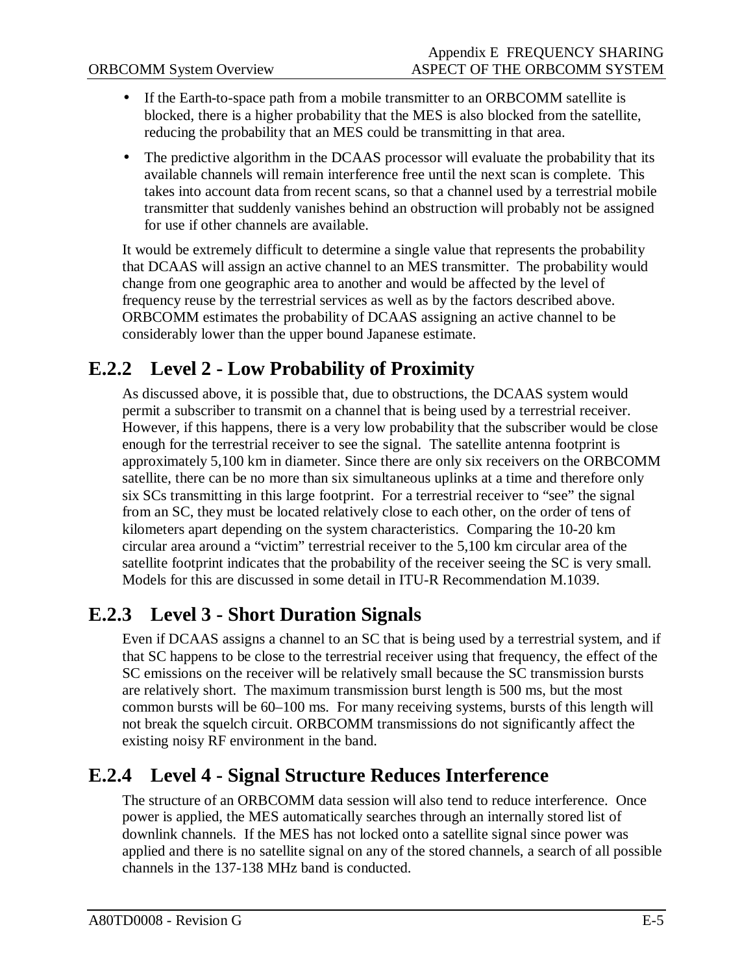- If the Earth-to-space path from a mobile transmitter to an ORBCOMM satellite is blocked, there is a higher probability that the MES is also blocked from the satellite, reducing the probability that an MES could be transmitting in that area.
- The predictive algorithm in the DCAAS processor will evaluate the probability that its available channels will remain interference free until the next scan is complete. This takes into account data from recent scans, so that a channel used by a terrestrial mobile transmitter that suddenly vanishes behind an obstruction will probably not be assigned for use if other channels are available.

It would be extremely difficult to determine a single value that represents the probability that DCAAS will assign an active channel to an MES transmitter. The probability would change from one geographic area to another and would be affected by the level of frequency reuse by the terrestrial services as well as by the factors described above. ORBCOMM estimates the probability of DCAAS assigning an active channel to be considerably lower than the upper bound Japanese estimate.

#### **E.2.2 Level 2 - Low Probability of Proximity**

As discussed above, it is possible that, due to obstructions, the DCAAS system would permit a subscriber to transmit on a channel that is being used by a terrestrial receiver. However, if this happens, there is a very low probability that the subscriber would be close enough for the terrestrial receiver to see the signal. The satellite antenna footprint is approximately 5,100 km in diameter. Since there are only six receivers on the ORBCOMM satellite, there can be no more than six simultaneous uplinks at a time and therefore only six SCs transmitting in this large footprint. For a terrestrial receiver to "see" the signal from an SC, they must be located relatively close to each other, on the order of tens of kilometers apart depending on the system characteristics. Comparing the 10-20 km circular area around a "victim" terrestrial receiver to the 5,100 km circular area of the satellite footprint indicates that the probability of the receiver seeing the SC is very small. Models for this are discussed in some detail in ITU-R Recommendation M.1039.

#### **E.2.3 Level 3 - Short Duration Signals**

Even if DCAAS assigns a channel to an SC that is being used by a terrestrial system, and if that SC happens to be close to the terrestrial receiver using that frequency, the effect of the SC emissions on the receiver will be relatively small because the SC transmission bursts are relatively short. The maximum transmission burst length is 500 ms, but the most common bursts will be 60–100 ms. For many receiving systems, bursts of this length will not break the squelch circuit. ORBCOMM transmissions do not significantly affect the existing noisy RF environment in the band.

#### **E.2.4 Level 4 - Signal Structure Reduces Interference**

The structure of an ORBCOMM data session will also tend to reduce interference. Once power is applied, the MES automatically searches through an internally stored list of downlink channels. If the MES has not locked onto a satellite signal since power was applied and there is no satellite signal on any of the stored channels, a search of all possible channels in the 137-138 MHz band is conducted.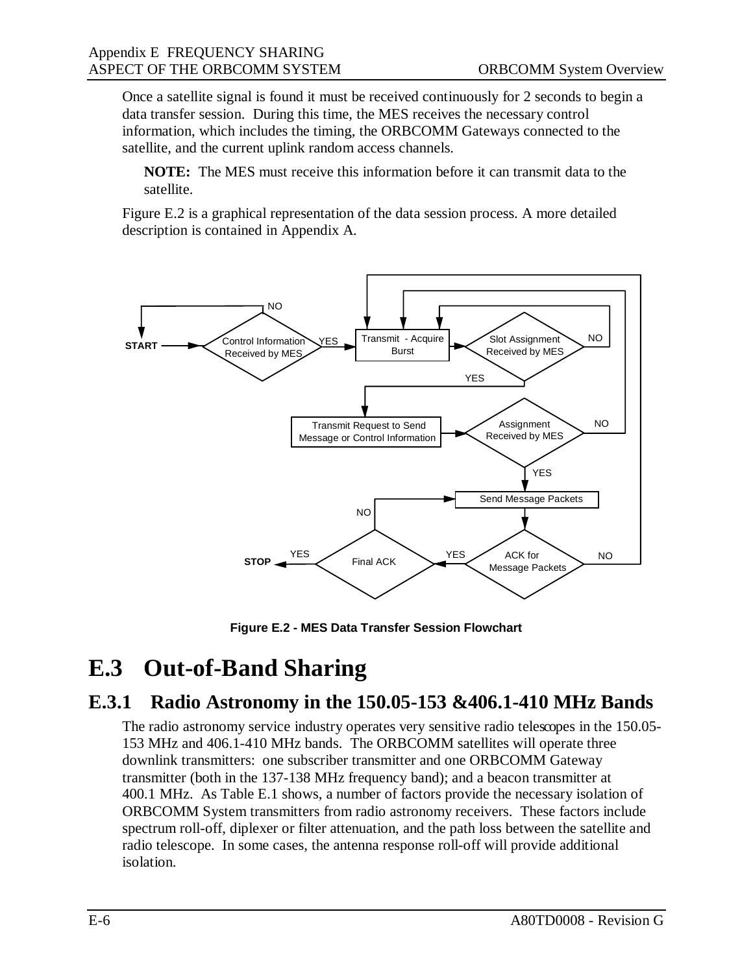Once a satellite signal is found it must be received continuously for 2 seconds to begin a data transfer session. During this time, the MES receives the necessary control information, which includes the timing, the ORBCOMM Gateways connected to the satellite, and the current uplink random access channels.

**NOTE:** The MES must receive this information before it can transmit data to the satellite.

Figure E.2 is a graphical representation of the data session process. A more detailed description is contained in Appendix A.



**Figure E.2 - MES Data Transfer Session Flowchart**

### **E.3 Out-of-Band Sharing**

#### **E.3.1 Radio Astronomy in the 150.05-153 &406.1-410 MHz Bands**

The radio astronomy service industry operates very sensitive radio telescopes in the 150.05- 153 MHz and 406.1-410 MHz bands. The ORBCOMM satellites will operate three downlink transmitters: one subscriber transmitter and one ORBCOMM Gateway transmitter (both in the 137-138 MHz frequency band); and a beacon transmitter at 400.1 MHz. As Table E.1 shows, a number of factors provide the necessary isolation of ORBCOMM System transmitters from radio astronomy receivers. These factors include spectrum roll-off, diplexer or filter attenuation, and the path loss between the satellite and radio telescope. In some cases, the antenna response roll-off will provide additional isolation.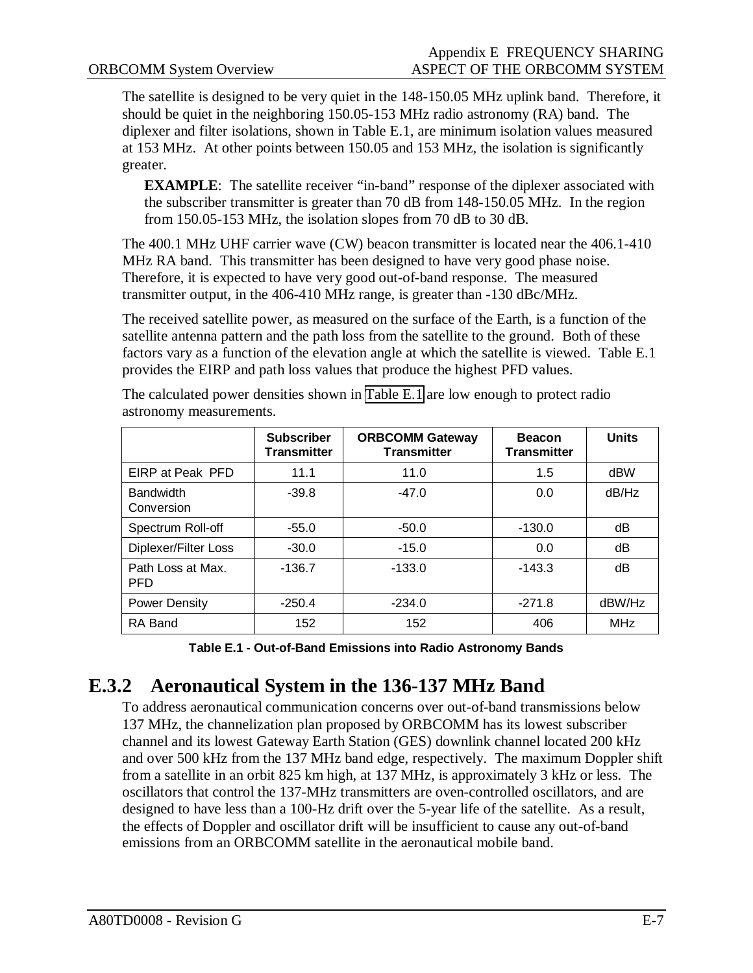The satellite is designed to be very quiet in the 148-150.05 MHz uplink band. Therefore, it should be quiet in the neighboring 150.05-153 MHz radio astronomy (RA) band. The diplexer and filter isolations, shown in Table E.1, are minimum isolation values measured at 153 MHz. At other points between 150.05 and 153 MHz, the isolation is significantly greater.

**EXAMPLE**: The satellite receiver "in-band" response of the diplexer associated with the subscriber transmitter is greater than 70 dB from 148-150.05 MHz. In the region from 150.05-153 MHz, the isolation slopes from 70 dB to 30 dB.

The 400.1 MHz UHF carrier wave (CW) beacon transmitter is located near the 406.1-410 MHz RA band. This transmitter has been designed to have very good phase noise. Therefore, it is expected to have very good out-of-band response. The measured transmitter output, in the 406-410 MHz range, is greater than -130 dBc/MHz.

The received satellite power, as measured on the surface of the Earth, is a function of the satellite antenna pattern and the path loss from the satellite to the ground. Both of these factors vary as a function of the elevation angle at which the satellite is viewed. Table E.1 provides the EIRP and path loss values that produce the highest PFD values.

|                                 | <b>Subscriber</b><br><b>Transmitter</b> | <b>ORBCOMM Gateway</b><br><b>Transmitter</b> | <b>Beacon</b><br><b>Transmitter</b> | <b>Units</b> |
|---------------------------------|-----------------------------------------|----------------------------------------------|-------------------------------------|--------------|
| EIRP at Peak PFD                | 11.1                                    | 11.0                                         | 1.5                                 | dBW          |
| <b>Bandwidth</b><br>Conversion  | $-39.8$                                 | $-47.0$                                      | 0.0                                 | dB/Hz        |
| Spectrum Roll-off               | $-55.0$                                 | $-50.0$                                      | $-130.0$                            | dB           |
| Diplexer/Filter Loss            | $-30.0$                                 | $-15.0$                                      | 0.0                                 | dB           |
| Path Loss at Max.<br><b>PFD</b> | $-136.7$                                | $-133.0$                                     | $-143.3$                            | dB           |
| <b>Power Density</b>            | $-250.4$                                | $-234.0$                                     | $-271.8$                            | dBW/Hz       |
| RA Band                         | 152                                     | 152                                          | 406                                 | <b>MHz</b>   |

The calculated power densities shown in Table E.1 are low enough to protect radio astronomy measurements.

**Table E.1 - Out-of-Band Emissions into Radio Astronomy Bands**

#### **E.3.2 Aeronautical System in the 136-137 MHz Band**

To address aeronautical communication concerns over out-of-band transmissions below 137 MHz, the channelization plan proposed by ORBCOMM has its lowest subscriber channel and its lowest Gateway Earth Station (GES) downlink channel located 200 kHz and over 500 kHz from the 137 MHz band edge, respectively. The maximum Doppler shift from a satellite in an orbit 825 km high, at 137 MHz, is approximately 3 kHz or less. The oscillators that control the 137-MHz transmitters are oven-controlled oscillators, and are designed to have less than a 100-Hz drift over the 5-year life of the satellite. As a result, the effects of Doppler and oscillator drift will be insufficient to cause any out-of-band emissions from an ORBCOMM satellite in the aeronautical mobile band.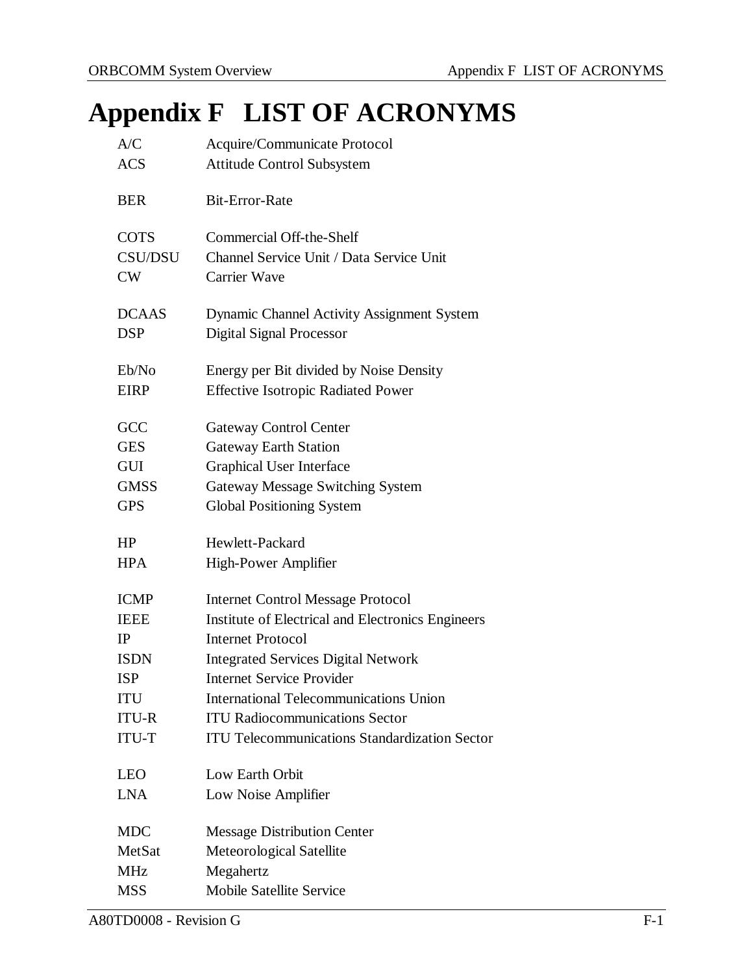# **Appendix F LIST OF ACRONYMS**

| A/C            | Acquire/Communicate Protocol                         |
|----------------|------------------------------------------------------|
| <b>ACS</b>     | <b>Attitude Control Subsystem</b>                    |
|                |                                                      |
| <b>BER</b>     | <b>Bit-Error-Rate</b>                                |
|                |                                                      |
| <b>COTS</b>    | Commercial Off-the-Shelf                             |
| <b>CSU/DSU</b> | Channel Service Unit / Data Service Unit             |
| CW             | <b>Carrier Wave</b>                                  |
| <b>DCAAS</b>   | Dynamic Channel Activity Assignment System           |
| <b>DSP</b>     | <b>Digital Signal Processor</b>                      |
|                |                                                      |
| Eb/No          | Energy per Bit divided by Noise Density              |
| <b>EIRP</b>    | <b>Effective Isotropic Radiated Power</b>            |
|                |                                                      |
| GCC            | <b>Gateway Control Center</b>                        |
| <b>GES</b>     | <b>Gateway Earth Station</b>                         |
| <b>GUI</b>     | <b>Graphical User Interface</b>                      |
| <b>GMSS</b>    | <b>Gateway Message Switching System</b>              |
| <b>GPS</b>     | <b>Global Positioning System</b>                     |
|                |                                                      |
| HP             | Hewlett-Packard                                      |
| <b>HPA</b>     | High-Power Amplifier                                 |
| <b>ICMP</b>    | <b>Internet Control Message Protocol</b>             |
| <b>IEEE</b>    | Institute of Electrical and Electronics Engineers    |
| IP             | <b>Internet Protocol</b>                             |
| <b>ISDN</b>    | <b>Integrated Services Digital Network</b>           |
| <b>ISP</b>     | <b>Internet Service Provider</b>                     |
| <b>ITU</b>     | <b>International Telecommunications Union</b>        |
| <b>ITU-R</b>   | <b>ITU Radiocommunications Sector</b>                |
| ITU-T          | <b>ITU Telecommunications Standardization Sector</b> |
|                |                                                      |
| <b>LEO</b>     | Low Earth Orbit                                      |
| <b>LNA</b>     | Low Noise Amplifier                                  |
| <b>MDC</b>     | <b>Message Distribution Center</b>                   |
| MetSat         | Meteorological Satellite                             |
| <b>MHz</b>     | Megahertz                                            |
| <b>MSS</b>     | <b>Mobile Satellite Service</b>                      |